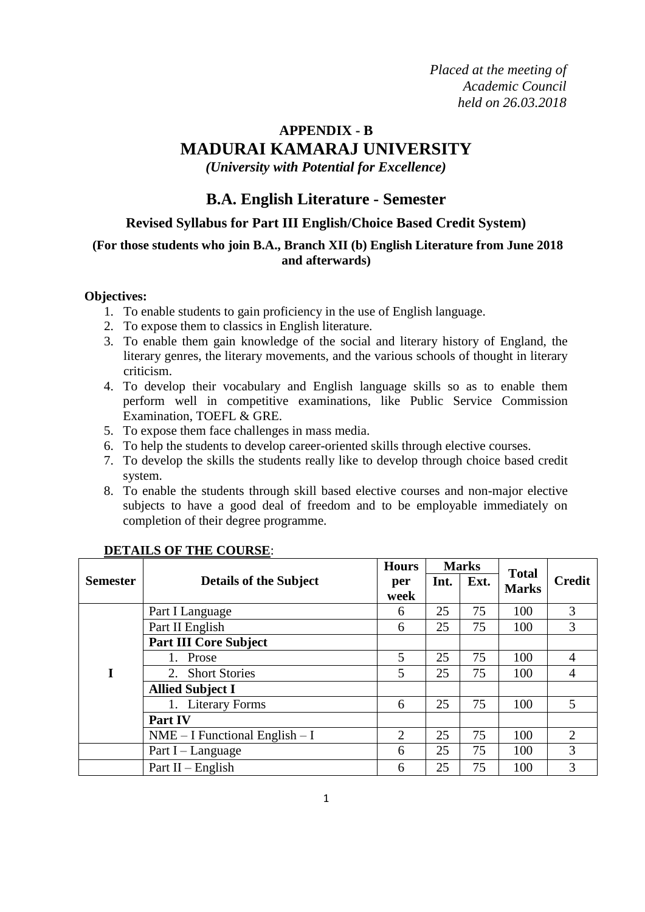*Placed at the meeting of Academic Council held on 26.03.2018*

## **APPENDIX - B MADURAI KAMARAJ UNIVERSITY** *(University with Potential for Excellence)*

## **B.A. English Literature - Semester**

### **Revised Syllabus for Part III English/Choice Based Credit System)**

### **(For those students who join B.A., Branch XII (b) English Literature from June 2018 and afterwards)**

#### **Objectives:**

- 1. To enable students to gain proficiency in the use of English language.
- 2. To expose them to classics in English literature.
- 3. To enable them gain knowledge of the social and literary history of England, the literary genres, the literary movements, and the various schools of thought in literary criticism.
- 4. To develop their vocabulary and English language skills so as to enable them perform well in competitive examinations, like Public Service Commission Examination, TOEFL & GRE.
- 5. To expose them face challenges in mass media.
- 6. To help the students to develop career-oriented skills through elective courses.
- 7. To develop the skills the students really like to develop through choice based credit system.
- 8. To enable the students through skill based elective courses and non-major elective subjects to have a good deal of freedom and to be employable immediately on completion of their degree programme.

|                 |                                    | <b>Hours</b>   |      | <b>Marks</b> | <b>Total</b> |               |
|-----------------|------------------------------------|----------------|------|--------------|--------------|---------------|
| <b>Semester</b> | <b>Details of the Subject</b>      | per<br>week    | Int. | Ext.         | <b>Marks</b> | <b>Credit</b> |
|                 | Part I Language                    | 6              | 25   | 75           | 100          | 3             |
|                 | Part II English                    | 6              | 25   | 75           | 100          | 3             |
|                 | <b>Part III Core Subject</b>       |                |      |              |              |               |
|                 | Prose                              | 5              | 25   | 75           | 100          | 4             |
| I               | 2. Short Stories                   | 5              | 25   | 75           | 100          | 4             |
|                 | <b>Allied Subject I</b>            |                |      |              |              |               |
|                 | 1. Literary Forms                  | 6              | 25   | 75           | 100          | 5             |
|                 | <b>Part IV</b>                     |                |      |              |              |               |
|                 | $NME - I$ Functional English $- I$ | $\overline{2}$ | 25   | 75           | 100          | 2             |
|                 | Part I - Language                  | 6              | 25   | 75           | 100          | 3             |
|                 | Part $II$ – English                | 6              | 25   | 75           | 100          | 3             |

### **DETAILS OF THE COURSE**: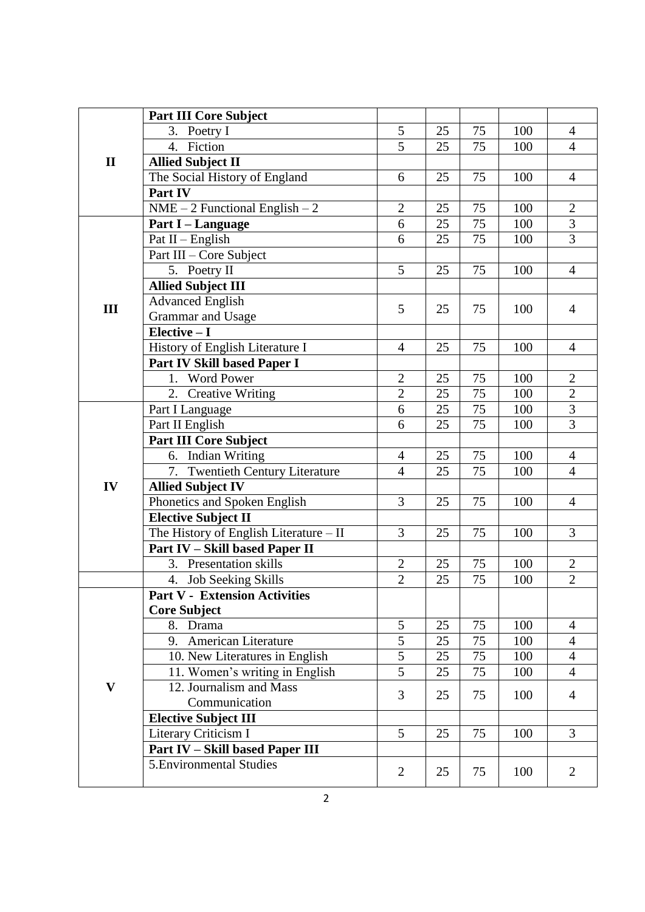|              | <b>Part III Core Subject</b>              |                |    |    |     |                |
|--------------|-------------------------------------------|----------------|----|----|-----|----------------|
|              | 3. Poetry I                               | 5              | 25 | 75 | 100 | $\overline{4}$ |
|              | Fiction<br>$\overline{4}$ .               | $\overline{5}$ | 25 | 75 | 100 | $\overline{4}$ |
| $\mathbf{I}$ | <b>Allied Subject II</b>                  |                |    |    |     |                |
|              | The Social History of England             | 6              | 25 | 75 | 100 | $\overline{4}$ |
|              | Part IV                                   |                |    |    |     |                |
|              | $NME - 2$ Functional English $-2$         | $\overline{2}$ | 25 | 75 | 100 | $\overline{2}$ |
|              | Part I - Language                         | 6              | 25 | 75 | 100 | $\overline{3}$ |
|              | Pat $II$ – English                        | 6              | 25 | 75 | 100 | $\overline{3}$ |
|              | Part III - Core Subject                   |                |    |    |     |                |
|              | 5. Poetry II                              | 5              | 25 | 75 | 100 | $\overline{4}$ |
|              | <b>Allied Subject III</b>                 |                |    |    |     |                |
|              | <b>Advanced English</b>                   |                |    |    |     |                |
| III          | Grammar and Usage                         | 5              | 25 | 75 | 100 | $\overline{4}$ |
|              | $Elective - I$                            |                |    |    |     |                |
|              | History of English Literature I           | $\overline{4}$ | 25 | 75 | 100 | $\overline{4}$ |
|              | Part IV Skill based Paper I               |                |    |    |     |                |
|              | 1. Word Power                             | $\overline{2}$ | 25 | 75 | 100 | $\overline{2}$ |
|              | <b>Creative Writing</b><br>2.             | $\overline{2}$ | 25 | 75 | 100 | $\overline{2}$ |
|              | Part I Language                           | 6              | 25 | 75 | 100 | $\overline{3}$ |
|              | Part II English                           | 6              | 25 | 75 | 100 | $\overline{3}$ |
|              | <b>Part III Core Subject</b>              |                |    |    |     |                |
|              | 6. Indian Writing                         | $\overline{4}$ | 25 | 75 | 100 | $\overline{4}$ |
|              | 7.<br><b>Twentieth Century Literature</b> | $\overline{4}$ | 25 | 75 | 100 | $\overline{4}$ |
| IV           | <b>Allied Subject IV</b>                  |                |    |    |     |                |
|              | Phonetics and Spoken English              | 3              | 25 | 75 | 100 | $\overline{4}$ |
|              | <b>Elective Subject II</b>                |                |    |    |     |                |
|              | The History of English Literature - II    | 3              | 25 | 75 | 100 | 3              |
|              | Part IV - Skill based Paper II            |                |    |    |     |                |
|              | 3. Presentation skills                    | $\mathbf{2}$   | 25 | 75 | 100 | $\mathbf{2}$   |
|              | 4. Job Seeking Skills                     | $\overline{2}$ | 25 | 75 | 100 | $\overline{2}$ |
|              | <b>Part V - Extension Activities</b>      |                |    |    |     |                |
|              | <b>Core Subject</b>                       |                |    |    |     |                |
|              | 8. Drama                                  | 5              | 25 | 75 | 100 | $\overline{4}$ |
|              | 9. American Literature                    | 5              | 25 | 75 | 100 | $\overline{4}$ |
|              | 10. New Literatures in English            | 5              | 25 | 75 | 100 | $\overline{4}$ |
|              | 11. Women's writing in English            | 5              | 25 | 75 | 100 | $\overline{4}$ |
| $\mathbf{V}$ | 12. Journalism and Mass                   | 3              |    |    |     |                |
|              | Communication                             |                | 25 | 75 | 100 | $\overline{4}$ |
|              | <b>Elective Subject III</b>               |                |    |    |     |                |
|              | Literary Criticism I                      | 5              | 25 | 75 | 100 | 3              |
|              | Part IV - Skill based Paper III           |                |    |    |     |                |
|              | 5. Environmental Studies                  | 2              | 25 | 75 | 100 | $\overline{2}$ |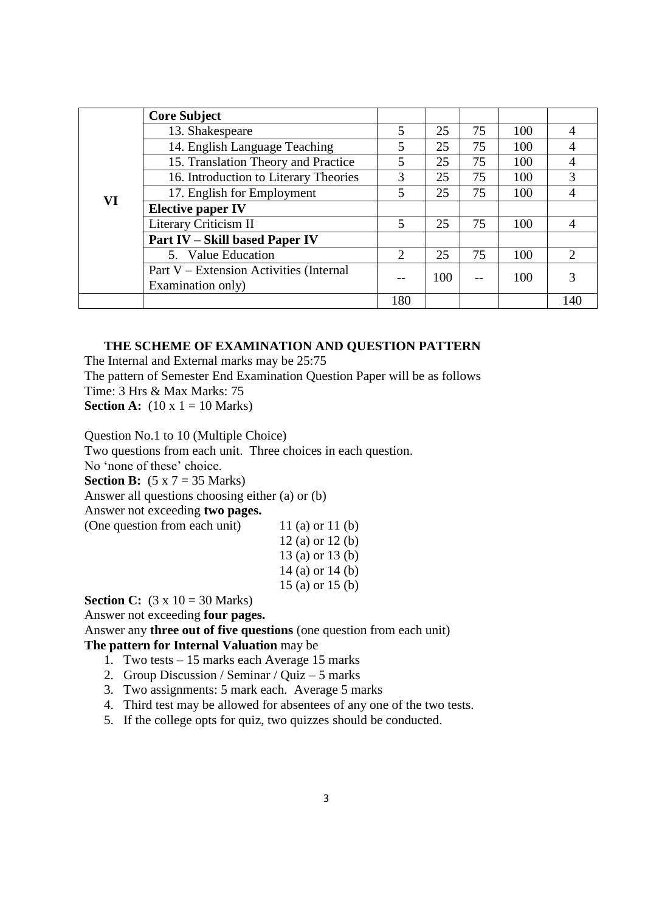|    | <b>Core Subject</b>                     |                |     |    |     |     |
|----|-----------------------------------------|----------------|-----|----|-----|-----|
|    | 13. Shakespeare                         | 5              | 25  | 75 | 100 |     |
|    | 14. English Language Teaching           | 5              | 25  | 75 | 100 |     |
|    | 15. Translation Theory and Practice     | 5              | 25  | 75 | 100 |     |
|    | 16. Introduction to Literary Theories   | 3              | 25  | 75 | 100 | 3   |
| VI | 17. English for Employment              | 5              | 25  | 75 | 100 |     |
|    | <b>Elective paper IV</b>                |                |     |    |     |     |
|    | Literary Criticism II                   | 5              | 25  | 75 | 100 |     |
|    | <b>Part IV - Skill based Paper IV</b>   |                |     |    |     |     |
|    | 5. Value Education                      | $\overline{2}$ | 25  | 75 | 100 | 2   |
|    | Part V – Extension Activities (Internal |                | 100 |    | 100 |     |
|    | Examination only)                       |                |     |    |     |     |
|    |                                         | 180            |     |    |     | 140 |

#### **THE SCHEME OF EXAMINATION AND QUESTION PATTERN**

The Internal and External marks may be 25:75

The pattern of Semester End Examination Question Paper will be as follows Time: 3 Hrs & Max Marks: 75 **Section A:**  $(10 \times 1 = 10 \text{ Marks})$ 

Question No.1 to 10 (Multiple Choice) Two questions from each unit. Three choices in each question. No 'none of these' choice. **Section B:**  $(5 \times 7 = 35 \text{ Marks})$ Answer all questions choosing either (a) or (b) Answer not exceeding **two pages.** (One question from each unit)  $11$  (a) or  $11$  (b) 12 (a) or 12 (b)

13 (a) or 13 (b) 14 (a) or 14 (b) 15 (a) or 15 (b)

**Section C:**  $(3 \times 10 = 30 \text{ Marks})$ 

Answer not exceeding **four pages.**

Answer any **three out of five questions** (one question from each unit) **The pattern for Internal Valuation** may be

- 1. Two tests 15 marks each Average 15 marks
- 2. Group Discussion / Seminar / Quiz 5 marks
- 3. Two assignments: 5 mark each. Average 5 marks
- 4. Third test may be allowed for absentees of any one of the two tests.
- 5. If the college opts for quiz, two quizzes should be conducted.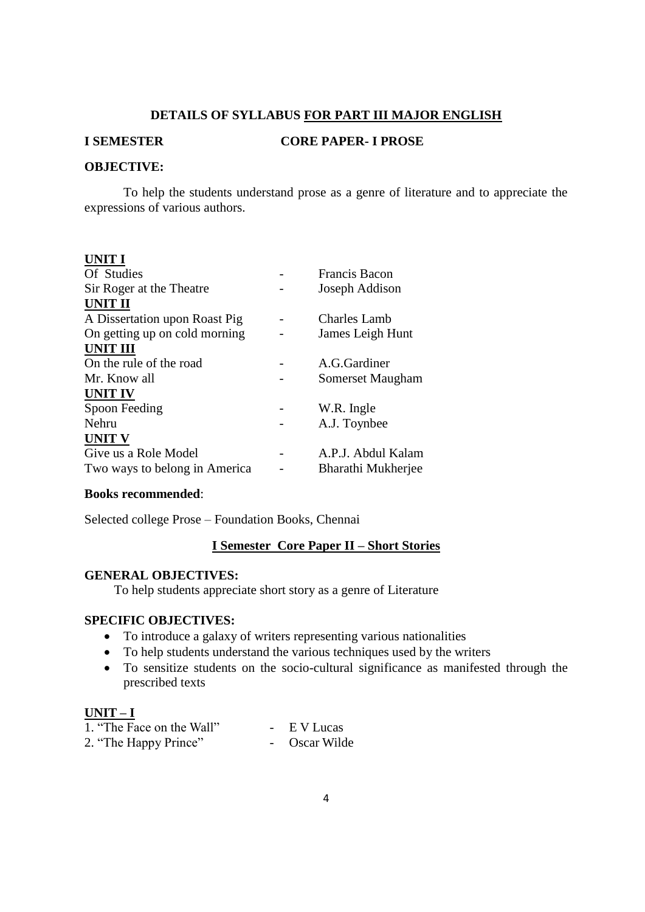#### **DETAILS OF SYLLABUS FOR PART III MAJOR ENGLISH**

#### **I SEMESTER CORE PAPER- I PROSE**

#### **OBJECTIVE:**

To help the students understand prose as a genre of literature and to appreciate the expressions of various authors.

#### **UNIT I**

| <b>Francis Bacon</b> |
|----------------------|
| Joseph Addison       |
|                      |
| <b>Charles Lamb</b>  |
| James Leigh Hunt     |
|                      |
| A.G.Gardiner         |
| Somerset Maugham     |
|                      |
| W.R. Ingle           |
| A.J. Toynbee         |
|                      |
| A.P.J. Abdul Kalam   |
| Bharathi Mukherjee   |
|                      |

#### **Books recommended**:

Selected college Prose – Foundation Books, Chennai

### **I Semester Core Paper II – Short Stories**

#### **GENERAL OBJECTIVES:**

To help students appreciate short story as a genre of Literature

#### **SPECIFIC OBJECTIVES:**

- To introduce a galaxy of writers representing various nationalities
- To help students understand the various techniques used by the writers
- To sensitize students on the socio-cultural significance as manifested through the prescribed texts

#### **UNIT – I**

| 1. "The Face on the Wall" | $\sim$ | E V Lucas   |
|---------------------------|--------|-------------|
| 2. "The Happy Prince"     |        | Oscar Wilde |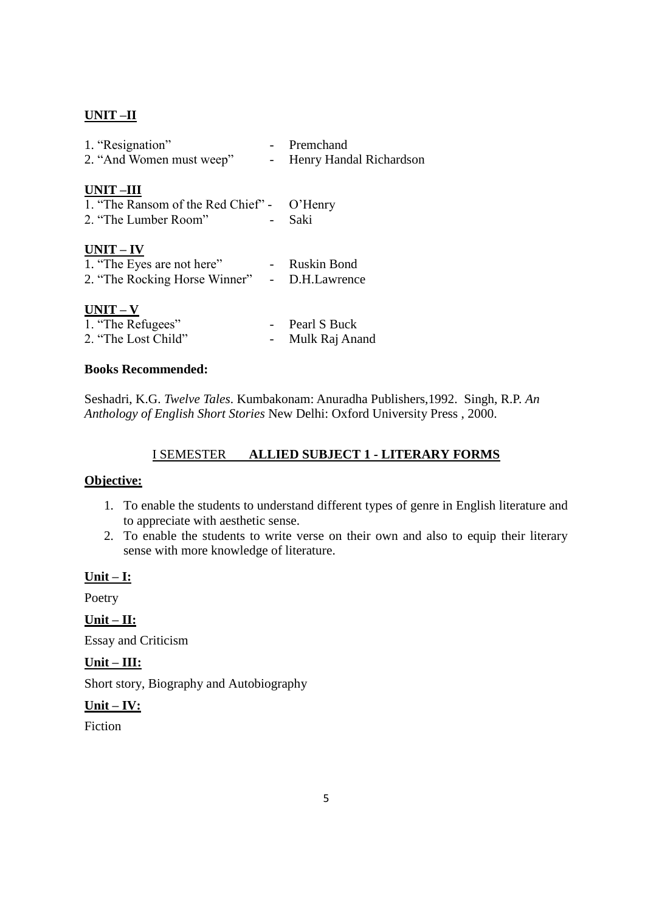### **UNIT –II**

|        | - Premchand                                  |
|--------|----------------------------------------------|
| $\sim$ | Henry Handal Richardson                      |
|        |                                              |
|        |                                              |
|        | 1. "The Ransom of the Red Chief" - O'Henry   |
|        | Saki                                         |
|        |                                              |
|        |                                              |
|        | 1. "The Eyes are not here" - Ruskin Bond     |
|        | 2. "The Rocking Horse Winner" - D.H.Lawrence |
|        |                                              |
|        |                                              |
|        | Pearl S Buck                                 |
|        | Mulk Raj Anand                               |
|        |                                              |

#### **Books Recommended:**

Seshadri, K.G. *Twelve Tales*. Kumbakonam: Anuradha Publishers,1992. Singh, R.P. *An Anthology of English Short Stories* New Delhi: Oxford University Press , 2000.

#### I SEMESTER **ALLIED SUBJECT 1 - LITERARY FORMS**

### **Objective:**

- 1. To enable the students to understand different types of genre in English literature and to appreciate with aesthetic sense.
- 2. To enable the students to write verse on their own and also to equip their literary sense with more knowledge of literature.

#### **Unit – I:**

Poetry

**Unit – II:**

Essay and Criticism

**Unit – III:**

Short story, Biography and Autobiography

### **Unit – IV:**

Fiction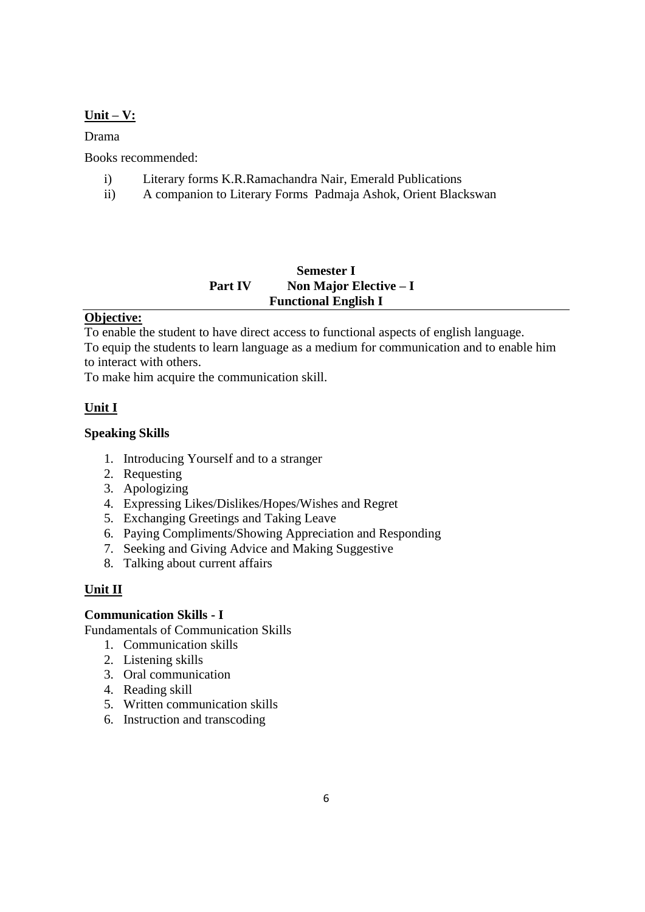### **Unit – V:**

Drama

Books recommended:

- i) Literary forms K.R.Ramachandra Nair, Emerald Publications
- ii) A companion to Literary Forms Padmaja Ashok, Orient Blackswan

### **Semester I Part IV** Non Major Elective – I **Functional English I**

### **Objective:**

To enable the student to have direct access to functional aspects of english language. To equip the students to learn language as a medium for communication and to enable him to interact with others.

To make him acquire the communication skill.

### **Unit I**

### **Speaking Skills**

- 1. Introducing Yourself and to a stranger
- 2. Requesting
- 3. Apologizing
- 4. Expressing Likes/Dislikes/Hopes/Wishes and Regret
- 5. Exchanging Greetings and Taking Leave
- 6. Paying Compliments/Showing Appreciation and Responding
- 7. Seeking and Giving Advice and Making Suggestive
- 8. Talking about current affairs

### **Unit II**

### **Communication Skills - I**

Fundamentals of Communication Skills

- 1. Communication skills
- 2. Listening skills
- 3. Oral communication
- 4. Reading skill
- 5. Written communication skills
- 6. Instruction and transcoding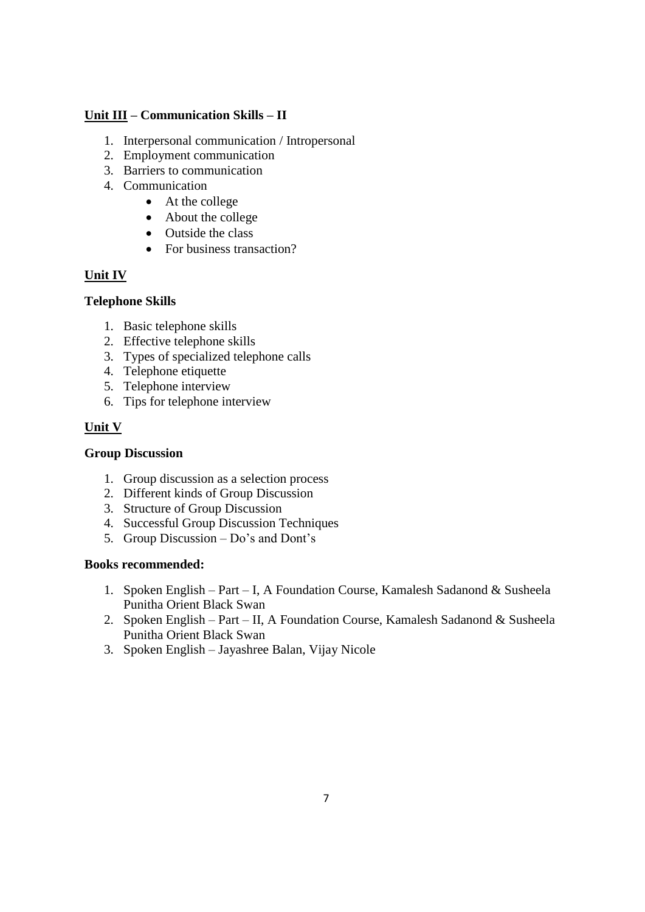### **Unit III – Communication Skills – II**

- 1. Interpersonal communication / Intropersonal
- 2. Employment communication
- 3. Barriers to communication
- 4. Communication
	- At the college
	- About the college
	- Outside the class
	- For business transaction?

### **Unit IV**

### **Telephone Skills**

- 1. Basic telephone skills
- 2. Effective telephone skills
- 3. Types of specialized telephone calls
- 4. Telephone etiquette
- 5. Telephone interview
- 6. Tips for telephone interview

### **Unit V**

### **Group Discussion**

- 1. Group discussion as a selection process
- 2. Different kinds of Group Discussion
- 3. Structure of Group Discussion
- 4. Successful Group Discussion Techniques
- 5. Group Discussion Do"s and Dont"s

### **Books recommended:**

- 1. Spoken English Part I, A Foundation Course, Kamalesh Sadanond & Susheela Punitha Orient Black Swan
- 2. Spoken English Part II, A Foundation Course, Kamalesh Sadanond & Susheela Punitha Orient Black Swan
- 3. Spoken English Jayashree Balan, Vijay Nicole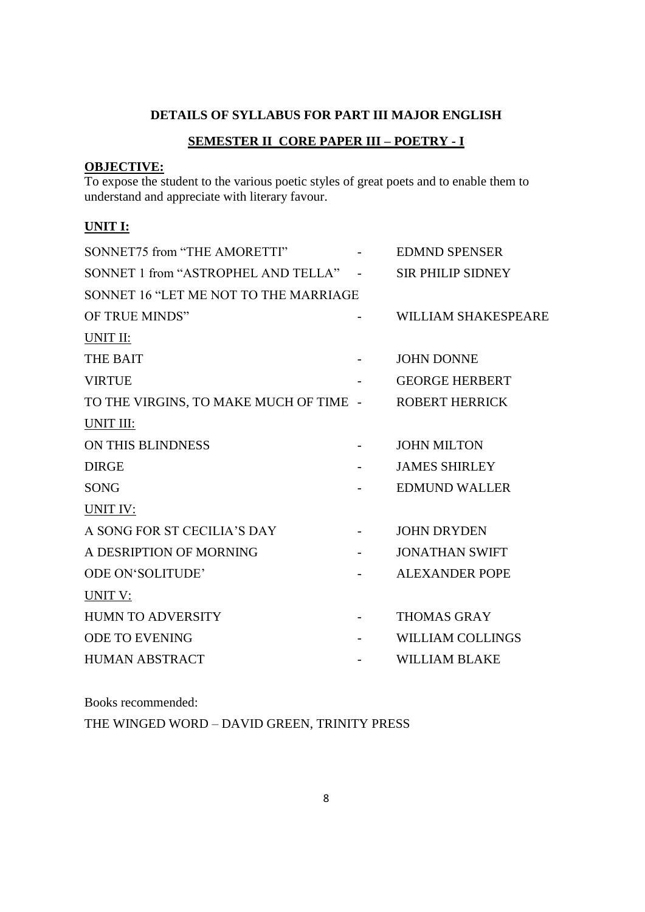### **DETAILS OF SYLLABUS FOR PART III MAJOR ENGLISH**

### **SEMESTER II CORE PAPER III – POETRY - I**

## **OBJECTIVE:**

To expose the student to the various poetic styles of great poets and to enable them to understand and appreciate with literary favour.

### **UNIT I:**

| SONNET75 from "THE AMORETTI"           | <b>EDMND SPENSER</b>       |
|----------------------------------------|----------------------------|
| SONNET 1 from "ASTROPHEL AND TELLA" -  | <b>SIR PHILIP SIDNEY</b>   |
| SONNET 16 "LET ME NOT TO THE MARRIAGE  |                            |
| OF TRUE MINDS"                         | <b>WILLIAM SHAKESPEARE</b> |
| UNIT II:                               |                            |
| <b>THE BAIT</b>                        | <b>JOHN DONNE</b>          |
| <b>VIRTUE</b>                          | <b>GEORGE HERBERT</b>      |
| TO THE VIRGINS, TO MAKE MUCH OF TIME - | <b>ROBERT HERRICK</b>      |
| UNIT III:                              |                            |
| ON THIS BLINDNESS                      | <b>JOHN MILTON</b>         |
| <b>DIRGE</b>                           | <b>JAMES SHIRLEY</b>       |
| <b>SONG</b>                            | <b>EDMUND WALLER</b>       |
| UNIT IV:                               |                            |
| A SONG FOR ST CECILIA'S DAY            | <b>JOHN DRYDEN</b>         |
| A DESRIPTION OF MORNING                | <b>JONATHAN SWIFT</b>      |
| <b>ODE ON'SOLITUDE'</b>                | <b>ALEXANDER POPE</b>      |
| UNIT V:                                |                            |
| <b>HUMN TO ADVERSITY</b>               | <b>THOMAS GRAY</b>         |
| <b>ODE TO EVENING</b>                  | <b>WILLIAM COLLINGS</b>    |
| <b>HUMAN ABSTRACT</b>                  | <b>WILLIAM BLAKE</b>       |
|                                        |                            |

Books recommended:

THE WINGED WORD – DAVID GREEN, TRINITY PRESS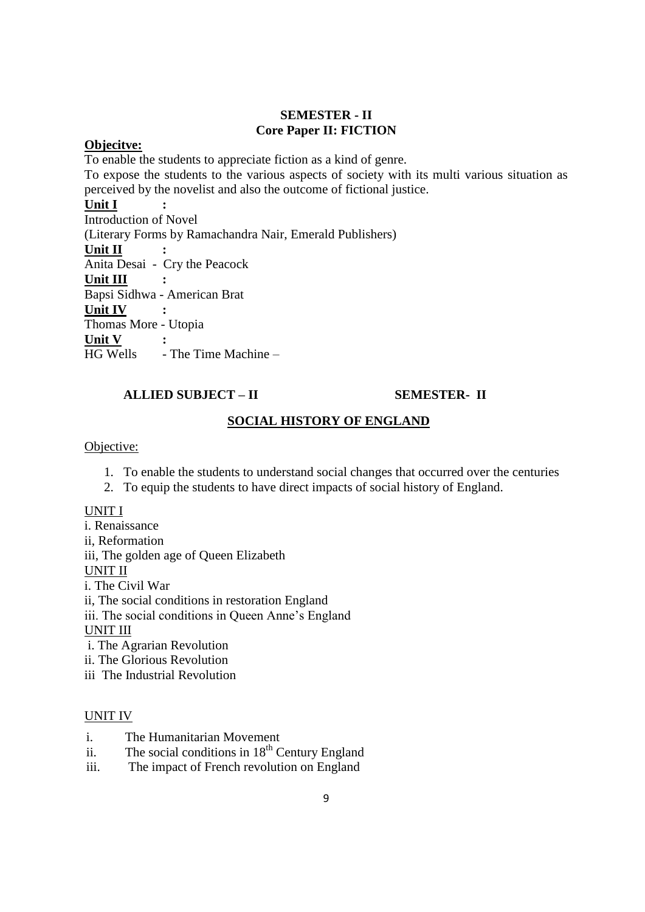### **SEMESTER - II Core Paper II: FICTION**

### **Objecitve:**

To enable the students to appreciate fiction as a kind of genre.

To expose the students to the various aspects of society with its multi various situation as perceived by the novelist and also the outcome of fictional justice.

### **Unit I :**

Introduction of Novel (Literary Forms by Ramachandra Nair, Emerald Publishers) **Unit II :** Anita Desai - Cry the Peacock **Unit III :** Bapsi Sidhwa - American Brat **Unit IV :** Thomas More - Utopia  $\frac{\text{Unit V}}{\text{HG Wells}}$  :  $-$  The Time Machine  $-$ 

### **ALLIED SUBJECT – II** SEMESTER- II

### **SOCIAL HISTORY OF ENGLAND**

### Objective:

- 1. To enable the students to understand social changes that occurred over the centuries
- 2. To equip the students to have direct impacts of social history of England.

### UNIT I

i. Renaissance

ii, Reformation

iii, The golden age of Queen Elizabeth

UNIT II

i. The Civil War

ii, The social conditions in restoration England

iii. The social conditions in Queen Anne"s England

UNIT III

i. The Agrarian Revolution

- ii. The Glorious Revolution
- iii The Industrial Revolution

### UNIT IV

- i. The Humanitarian Movement
- ii. The social conditions in  $18<sup>th</sup>$  Century England
- iii. The impact of French revolution on England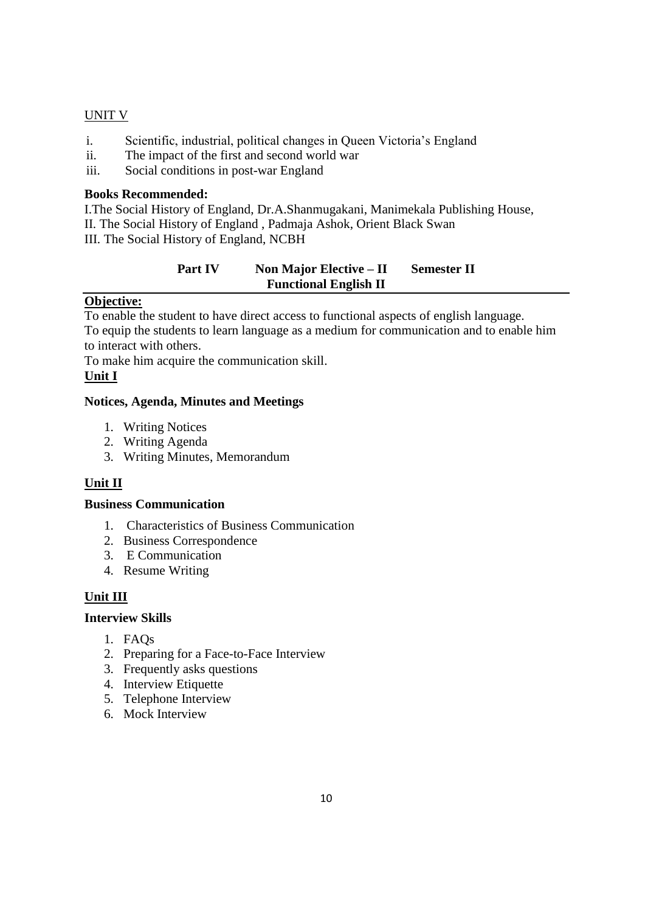### UNIT V

- i. Scientific, industrial, political changes in Queen Victoria"s England
- ii. The impact of the first and second world war
- iii. Social conditions in post-war England

### **Books Recommended:**

I.The Social History of England, Dr.A.Shanmugakani, Manimekala Publishing House, II. The Social History of England , Padmaja Ashok, Orient Black Swan III. The Social History of England, NCBH

### **Part IV** Non Major Elective – **II** Semester II **Functional English II**

### **Objective:**

To enable the student to have direct access to functional aspects of english language. To equip the students to learn language as a medium for communication and to enable him to interact with others.

To make him acquire the communication skill.

### **Unit I**

### **Notices, Agenda, Minutes and Meetings**

- 1. Writing Notices
- 2. Writing Agenda
- 3. Writing Minutes, Memorandum

### **Unit II**

### **Business Communication**

- 1. Characteristics of Business Communication
- 2. Business Correspondence
- 3. E Communication
- 4. Resume Writing

### **Unit III**

### **Interview Skills**

- 1. FAQs
- 2. Preparing for a Face-to-Face Interview
- 3. Frequently asks questions
- 4. Interview Etiquette
- 5. Telephone Interview
- 6. Mock Interview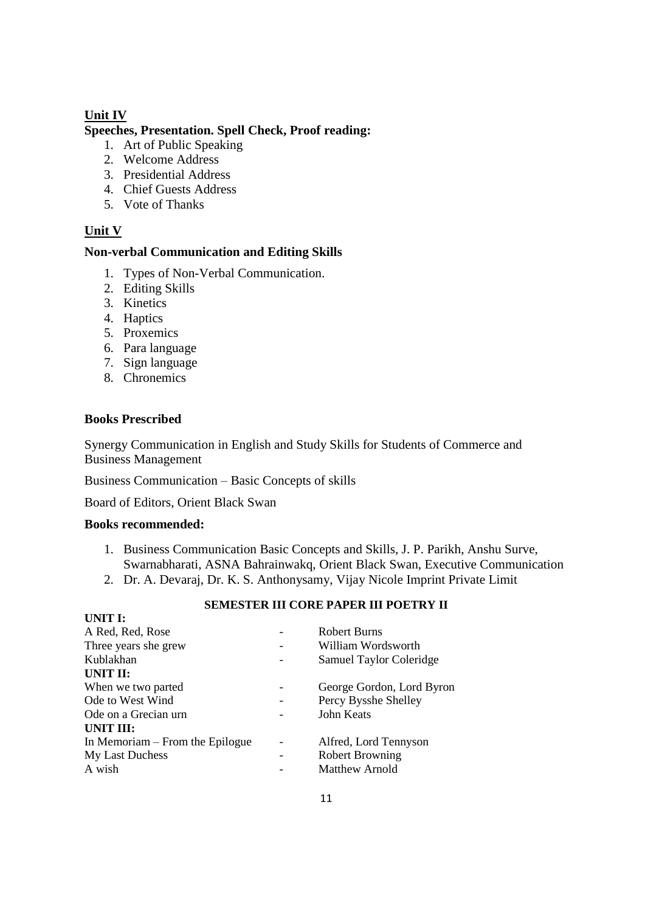### **Unit IV**

#### **Speeches, Presentation. Spell Check, Proof reading:**

- 1. Art of Public Speaking
- 2. Welcome Address
- 3. Presidential Address
- 4. Chief Guests Address
- 5. Vote of Thanks

### **Unit V**

#### **Non-verbal Communication and Editing Skills**

- 1. Types of Non-Verbal Communication.
- 2. Editing Skills
- 3. Kinetics
- 4. Haptics
- 5. Proxemics
- 6. Para language
- 7. Sign language
- 8. Chronemics

#### **Books Prescribed**

Synergy Communication in English and Study Skills for Students of Commerce and Business Management

Business Communication – Basic Concepts of skills

Board of Editors, Orient Black Swan

#### **Books recommended:**

**UNITE** I.

- 1. Business Communication Basic Concepts and Skills, J. P. Parikh, Anshu Surve, Swarnabharati, ASNA Bahrainwakq, Orient Black Swan, Executive Communication
- 2. Dr. A. Devaraj, Dr. K. S. Anthonysamy, Vijay Nicole Imprint Private Limit

### **SEMESTER III CORE PAPER III POETRY II**

| UNII E                          |                           |
|---------------------------------|---------------------------|
| A Red, Red, Rose                | Robert Burns              |
| Three years she grew            | William Wordsworth        |
| Kublakhan                       | Samuel Taylor Coleridge   |
| UNIT II:                        |                           |
| When we two parted              | George Gordon, Lord Byron |
| Ode to West Wind                | Percy Bysshe Shelley      |
| Ode on a Grecian urn            | John Keats                |
| UNIT III:                       |                           |
| In Memoriam – From the Epilogue | Alfred, Lord Tennyson     |
| My Last Duchess                 | <b>Robert Browning</b>    |
| A wish                          | <b>Matthew Arnold</b>     |
|                                 |                           |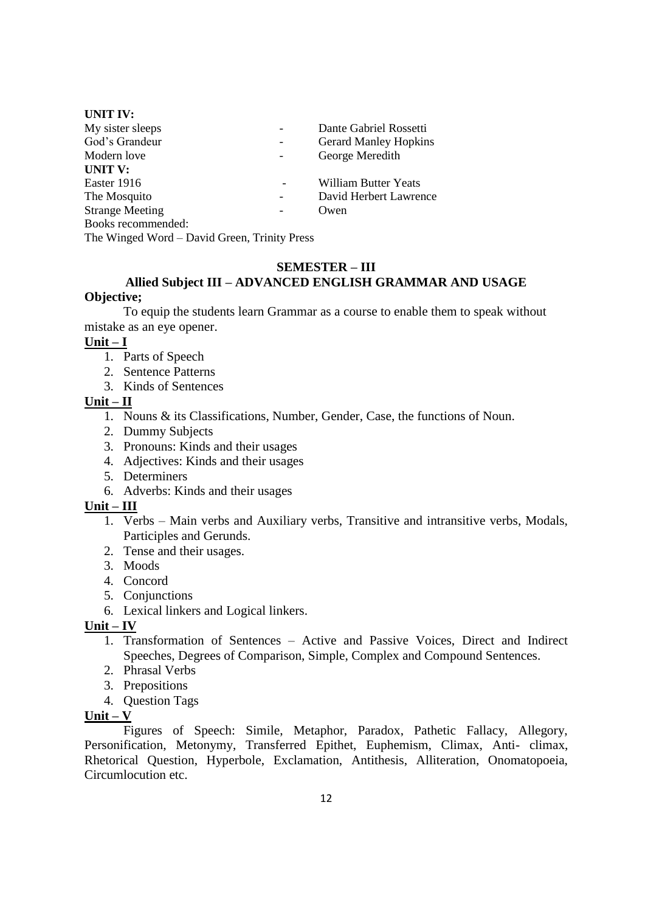| <b>UNIT IV:</b>        |   |                              |
|------------------------|---|------------------------------|
| My sister sleeps       |   | Dante Gabriel Rossetti       |
| God's Grandeur         | - | <b>Gerard Manley Hopkins</b> |
| Modern love            |   | George Meredith              |
| <b>UNIT V:</b>         |   |                              |
| Easter 1916            |   | <b>William Butter Yeats</b>  |
| The Mosquito           |   | David Herbert Lawrence       |
| <b>Strange Meeting</b> |   | Owen                         |
| Books recommended:     |   |                              |
|                        |   |                              |

The Winged Word – David Green, Trinity Press

### **SEMESTER – III**

### **Allied Subject III – ADVANCED ENGLISH GRAMMAR AND USAGE Objective;**

To equip the students learn Grammar as a course to enable them to speak without mistake as an eye opener.

#### **Unit – I**

- 1. Parts of Speech
- 2. Sentence Patterns
- 3. Kinds of Sentences

#### **Unit – II**

- 1. Nouns & its Classifications, Number, Gender, Case, the functions of Noun.
- 2. Dummy Subjects
- 3. Pronouns: Kinds and their usages
- 4. Adjectives: Kinds and their usages
- 5. Determiners
- 6. Adverbs: Kinds and their usages

### **Unit – III**

- 1. Verbs Main verbs and Auxiliary verbs, Transitive and intransitive verbs, Modals, Participles and Gerunds.
- 2. Tense and their usages.
- 3. Moods
- 4. Concord
- 5. Conjunctions
- 6. Lexical linkers and Logical linkers.

### **Unit – IV**

- 1. Transformation of Sentences Active and Passive Voices, Direct and Indirect Speeches, Degrees of Comparison, Simple, Complex and Compound Sentences.
- 2. Phrasal Verbs
- 3. Prepositions
- 4. Question Tags

### **Unit – V**

Figures of Speech: Simile, Metaphor, Paradox, Pathetic Fallacy, Allegory, Personification, Metonymy, Transferred Epithet, Euphemism, Climax, Anti- climax, Rhetorical Question, Hyperbole, Exclamation, Antithesis, Alliteration, Onomatopoeia, Circumlocution etc.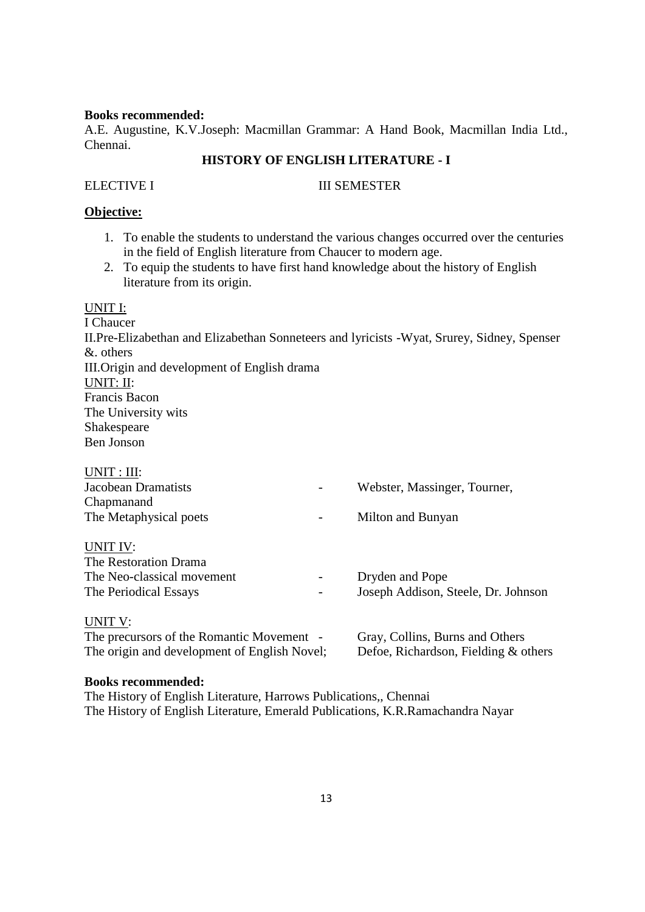#### **Books recommended:**

A.E. Augustine, K.V.Joseph: Macmillan Grammar: A Hand Book, Macmillan India Ltd., Chennai.

### **HISTORY OF ENGLISH LITERATURE - I**

#### ELECTIVE I III SEMESTER

### **Objective:**

- 1. To enable the students to understand the various changes occurred over the centuries in the field of English literature from Chaucer to modern age.
- 2. To equip the students to have first hand knowledge about the history of English literature from its origin.

#### UNIT I:

I Chaucer II.Pre-Elizabethan and Elizabethan Sonneteers and lyricists -Wyat, Srurey, Sidney, Spenser &. others III.Origin and development of English drama UNIT: II: Francis Bacon The University wits Shakespeare Ben Jonson

| UNIT: III:                                   |                                      |
|----------------------------------------------|--------------------------------------|
| Jacobean Dramatists                          | Webster, Massinger, Tourner,         |
| Chapmanand                                   |                                      |
| The Metaphysical poets                       | Milton and Bunyan                    |
| UNIT IV:                                     |                                      |
| The Restoration Drama                        |                                      |
| The Neo-classical movement                   | Dryden and Pope                      |
| The Periodical Essays                        | Joseph Addison, Steele, Dr. Johnson  |
| UNIT V:                                      |                                      |
| The precursors of the Romantic Movement -    | Gray, Collins, Burns and Others      |
| The origin and development of English Novel; | Defoe, Richardson, Fielding & others |

### **Books recommended:**

The History of English Literature, Harrows Publications,, Chennai The History of English Literature, Emerald Publications, K.R.Ramachandra Nayar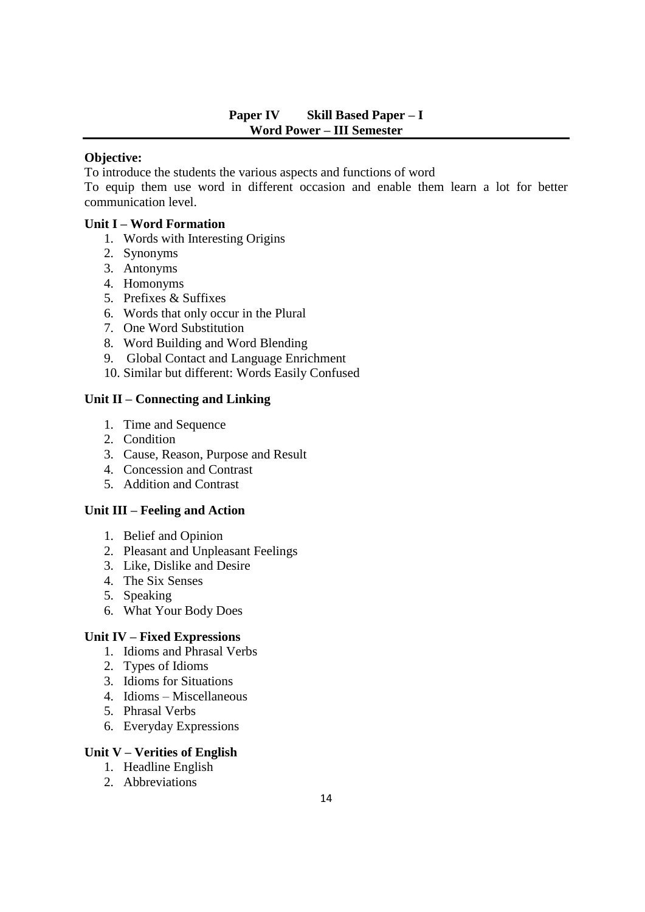### **Paper IV Skill Based Paper – I Word Power – III Semester**

### **Objective:**

To introduce the students the various aspects and functions of word

To equip them use word in different occasion and enable them learn a lot for better communication level.

### **Unit I – Word Formation**

- 1. Words with Interesting Origins
- 2. Synonyms
- 3. Antonyms
- 4. Homonyms
- 5. Prefixes & Suffixes
- 6. Words that only occur in the Plural
- 7. One Word Substitution
- 8. Word Building and Word Blending
- 9. Global Contact and Language Enrichment
- 10. Similar but different: Words Easily Confused

### **Unit II – Connecting and Linking**

- 1. Time and Sequence
- 2. Condition
- 3. Cause, Reason, Purpose and Result
- 4. Concession and Contrast
- 5. Addition and Contrast

### **Unit III – Feeling and Action**

- 1. Belief and Opinion
- 2. Pleasant and Unpleasant Feelings
- 3. Like, Dislike and Desire
- 4. The Six Senses
- 5. Speaking
- 6. What Your Body Does

### **Unit IV – Fixed Expressions**

- 1. Idioms and Phrasal Verbs
- 2. Types of Idioms
- 3. Idioms for Situations
- 4. Idioms Miscellaneous
- 5. Phrasal Verbs
- 6. Everyday Expressions

### **Unit V – Verities of English**

- 1. Headline English
- 2. Abbreviations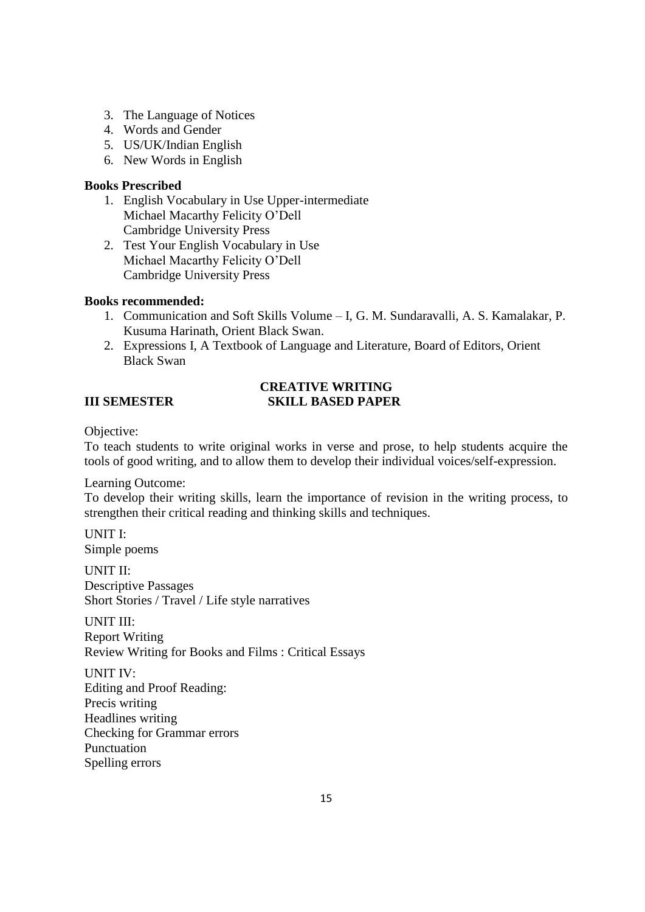- 3. The Language of Notices
- 4. Words and Gender
- 5. US/UK/Indian English
- 6. New Words in English

### **Books Prescribed**

- 1. English Vocabulary in Use Upper-intermediate Michael Macarthy Felicity O"Dell Cambridge University Press
- 2. Test Your English Vocabulary in Use Michael Macarthy Felicity O"Dell Cambridge University Press

### **Books recommended:**

- 1. Communication and Soft Skills Volume I, G. M. Sundaravalli, A. S. Kamalakar, P. Kusuma Harinath, Orient Black Swan.
- 2. Expressions I, A Textbook of Language and Literature, Board of Editors, Orient Black Swan

### **CREATIVE WRITING III SEMESTER SKILL BASED PAPER**

Objective:

To teach students to write original works in verse and prose, to help students acquire the tools of good writing, and to allow them to develop their individual voices/self-expression.

Learning Outcome:

To develop their writing skills, learn the importance of revision in the writing process, to strengthen their critical reading and thinking skills and techniques.

UNIT I: Simple poems

UNIT II: Descriptive Passages Short Stories / Travel / Life style narratives

UNIT III: Report Writing Review Writing for Books and Films : Critical Essays

UNIT IV: Editing and Proof Reading: Precis writing Headlines writing Checking for Grammar errors Punctuation Spelling errors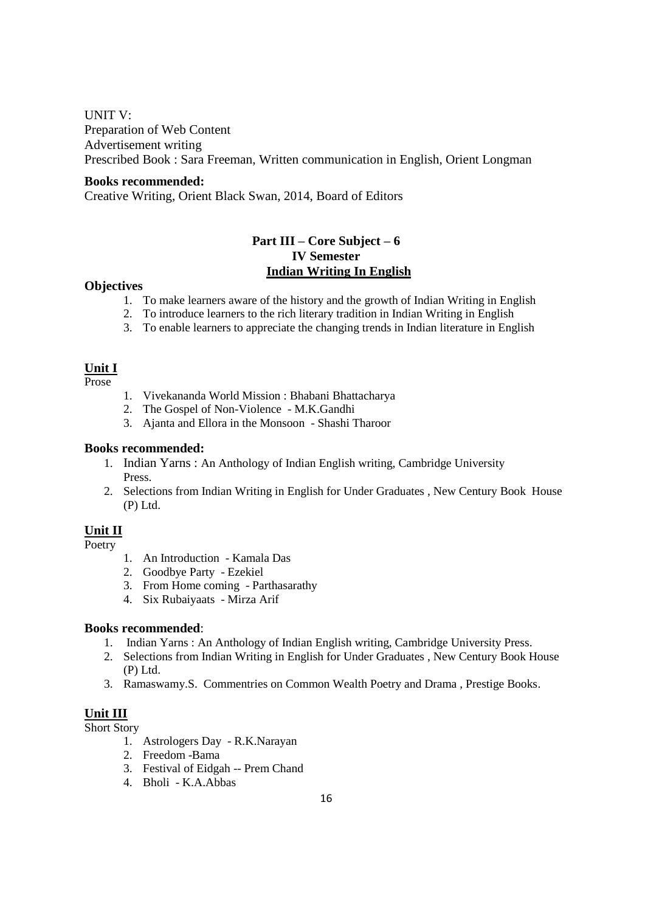UNIT V:

Preparation of Web Content Advertisement writing Prescribed Book : Sara Freeman, Written communication in English, Orient Longman

#### **Books recommended:**

Creative Writing, Orient Black Swan, 2014, Board of Editors

### **Part III – Core Subject – 6 IV Semester Indian Writing In English**

#### **Objectives**

- 1. To make learners aware of the history and the growth of Indian Writing in English
- 2. To introduce learners to the rich literary tradition in Indian Writing in English
- 3. To enable learners to appreciate the changing trends in Indian literature in English

### **Unit I**

Prose

- 1. Vivekananda World Mission : Bhabani Bhattacharya
- 2. The Gospel of Non-Violence M.K.Gandhi
- 3. Ajanta and Ellora in the Monsoon Shashi Tharoor

#### **Books recommended:**

- 1. Indian Yarns : An Anthology of Indian English writing, Cambridge University Press.
- 2. Selections from Indian Writing in English for Under Graduates , New Century Book House (P) Ltd.

### **Unit II**

Poetry

- 1. An Introduction Kamala Das
- 2. Goodbye Party Ezekiel
- 3. From Home coming Parthasarathy
- 4. Six Rubaiyaats Mirza Arif

#### **Books recommended**:

- 1. Indian Yarns : An Anthology of Indian English writing, Cambridge University Press.
- 2. Selections from Indian Writing in English for Under Graduates , New Century Book House (P) Ltd.
- 3. Ramaswamy.S. Commentries on Common Wealth Poetry and Drama , Prestige Books.

### **Unit III**

Short Story

- 1. Astrologers Day R.K.Narayan
- 2. Freedom -Bama
- 3. Festival of Eidgah -- Prem Chand
- 4. Bholi K.A.Abbas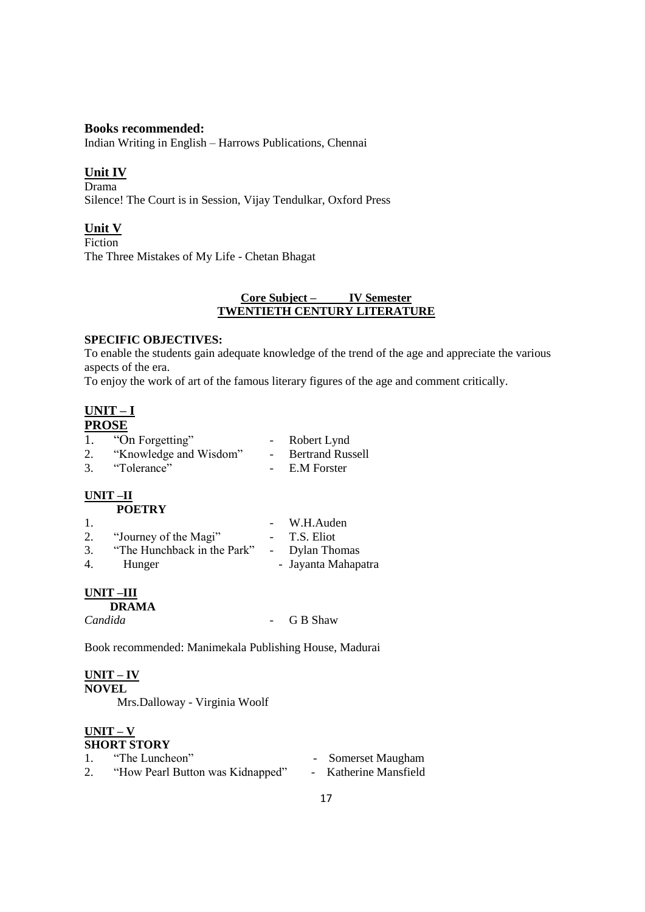#### **Books recommended:**

Indian Writing in English – Harrows Publications, Chennai

#### **Unit IV**

Drama Silence! The Court is in Session, Vijay Tendulkar, Oxford Press

### **Unit V**

Fiction The Three Mistakes of My Life - Chetan Bhagat

#### **Core Subject – IV Semester TWENTIETH CENTURY LITERATURE**

#### **SPECIFIC OBJECTIVES:**

To enable the students gain adequate knowledge of the trend of the age and appreciate the various aspects of the era.

To enjoy the work of art of the famous literary figures of the age and comment critically.

## **UNIT – I**

# **PROSE**

|    | "On Forgetting"        |        | Robert Lynd             |
|----|------------------------|--------|-------------------------|
|    | "Knowledge and Wisdom" | $\sim$ | <b>Bertrand Russell</b> |
| 3. | "Tolerance"            |        | E.M Forster             |

#### **UNIT –II POETRY**

| 1. |                                            | - W.H.Auden         |
|----|--------------------------------------------|---------------------|
| 2. | "Journey of the Magi"                      | - T.S. Eliot        |
| 3. | "The Hunchback in the Park" - Dylan Thomas |                     |
| 4. | Hunger                                     | - Jayanta Mahapatra |

### **UNIT –III**

 **DRAMA**

*Candida* - G B Shaw

Book recommended: Manimekala Publishing House, Madurai

#### **UNIT – IV**

**NOVEL** Mrs.Dalloway - Virginia Woolf

#### **UNIT – V SHORT STORY**

| ------------ |                                  |  |                       |  |
|--------------|----------------------------------|--|-----------------------|--|
|              | "The Luncheon"                   |  | - Somerset Maugham    |  |
|              | "How Pearl Button was Kidnapped" |  | - Katherine Mansfield |  |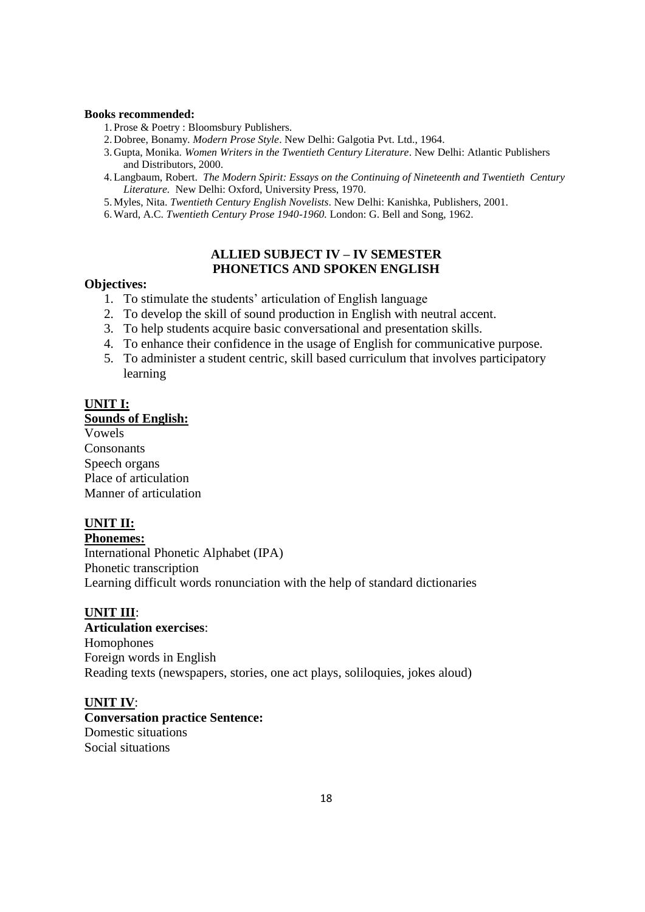#### **Books recommended:**

- 1. Prose & Poetry : Bloomsbury Publishers.
- 2. Dobree, Bonamy*. Modern Prose Style*. New Delhi: Galgotia Pvt. Ltd., 1964.
- 3. Gupta, Monika. *Women Writers in the Twentieth Century Literature*. New Delhi: Atlantic Publishers and Distributors, 2000.
- 4.Langbaum, Robert. *The Modern Spirit: Essays on the Continuing of Nineteenth and Twentieth Century Literature.* New Delhi: Oxford, University Press, 1970.
- 5.Myles, Nita. *Twentieth Century English Novelists*. New Delhi: Kanishka, Publishers, 2001.
- 6.Ward, A.C. *Twentieth Century Prose 1940-1960.* London: G. Bell and Song, 1962.

#### **ALLIED SUBJECT IV – IV SEMESTER PHONETICS AND SPOKEN ENGLISH**

#### **Objectives:**

- 1. To stimulate the students" articulation of English language
- 2. To develop the skill of sound production in English with neutral accent.
- 3. To help students acquire basic conversational and presentation skills.
- 4. To enhance their confidence in the usage of English for communicative purpose.
- 5. To administer a student centric, skill based curriculum that involves participatory learning

#### **UNIT I:**

#### **Sounds of English:**

Vowels **Consonants** Speech organs Place of articulation Manner of articulation

#### **UNIT II:**

**Phonemes:** International Phonetic Alphabet (IPA) Phonetic transcription Learning difficult words ronunciation with the help of standard dictionaries

#### **UNIT III**:

**Articulation exercises**: Homophones Foreign words in English Reading texts (newspapers, stories, one act plays, soliloquies, jokes aloud)

#### **UNIT IV**:

**Conversation practice Sentence:** Domestic situations Social situations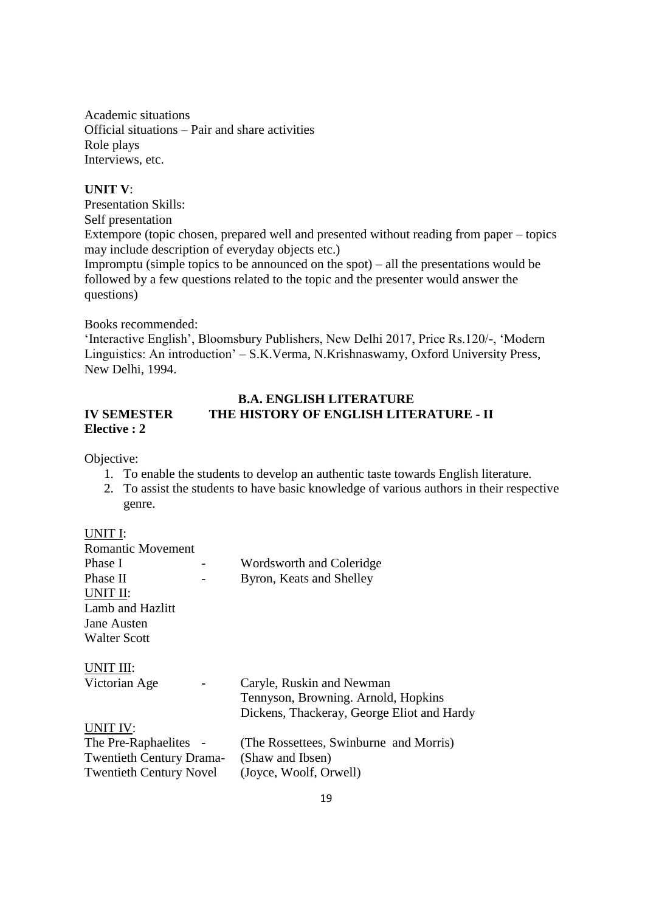Academic situations Official situations – Pair and share activities Role plays Interviews, etc.

#### **UNIT V**:

Presentation Skills: Self presentation Extempore (topic chosen, prepared well and presented without reading from paper – topics may include description of everyday objects etc.) Impromptu (simple topics to be announced on the spot) – all the presentations would be followed by a few questions related to the topic and the presenter would answer the questions)

Books recommended:

"Interactive English", Bloomsbury Publishers, New Delhi 2017, Price Rs.120/-, "Modern Linguistics: An introduction" – S.K.Verma, N.Krishnaswamy, Oxford University Press, New Delhi, 1994.

#### **B.A. ENGLISH LITERATURE IV SEMESTER THE HISTORY OF ENGLISH LITERATURE - II Elective : 2**

Objective:

- 1. To enable the students to develop an authentic taste towards English literature.
- 2. To assist the students to have basic knowledge of various authors in their respective genre.

#### UNIT I:

| <b>Romantic Movement</b>        |                                            |
|---------------------------------|--------------------------------------------|
| Phase I                         | Wordsworth and Coleridge                   |
| Phase II                        | Byron, Keats and Shelley                   |
| UNIT II:                        |                                            |
| Lamb and Hazlitt                |                                            |
| Jane Austen                     |                                            |
| <b>Walter Scott</b>             |                                            |
| UNIT III:                       |                                            |
| Victorian Age                   | Caryle, Ruskin and Newman                  |
|                                 | Tennyson, Browning. Arnold, Hopkins        |
|                                 | Dickens, Thackeray, George Eliot and Hardy |
| UNIT IV:                        |                                            |
| The Pre-Raphaelites -           | (The Rossettees, Swinburne and Morris)     |
| <b>Twentieth Century Drama-</b> | (Shaw and Ibsen)                           |
| <b>Twentieth Century Novel</b>  | (Joyce, Woolf, Orwell)                     |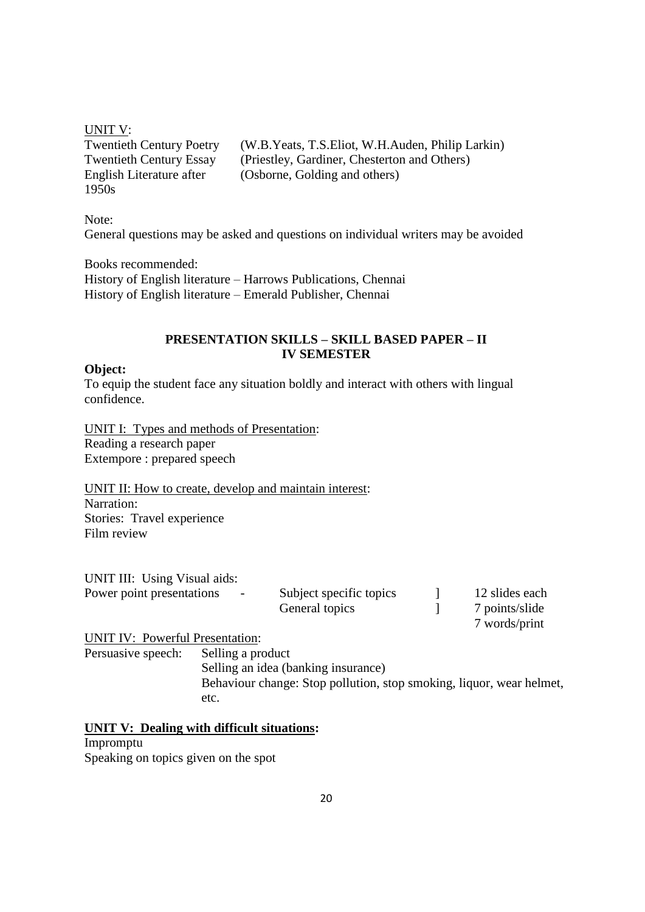UNIT V: 1950s

Twentieth Century Poetry (W.B.Yeats, T.S.Eliot, W.H.Auden, Philip Larkin) Twentieth Century Essay (Priestley, Gardiner, Chesterton and Others)<br>English Literature after (Osborne, Golding and others) (Osborne, Golding and others)

Note: General questions may be asked and questions on individual writers may be avoided

Books recommended: History of English literature – Harrows Publications, Chennai History of English literature – Emerald Publisher, Chennai

### **PRESENTATION SKILLS – SKILL BASED PAPER – II IV SEMESTER**

#### **Object:**

To equip the student face any situation boldly and interact with others with lingual confidence.

UNIT I: Types and methods of Presentation: Reading a research paper Extempore : prepared speech

UNIT II: How to create, develop and maintain interest: Narration: Stories: Travel experience Film review

| UNIT III: Using Visual aids: |        |                         |                |
|------------------------------|--------|-------------------------|----------------|
| Power point presentations    | $\sim$ | Subject specific topics | 12 slides each |
|                              |        | General topics          | 7 points/slide |

UNIT IV: Powerful Presentation:

Persuasive speech: Selling a product

Selling an idea (banking insurance) Behaviour change: Stop pollution, stop smoking, liquor, wear helmet, etc.

7 words/print

### **UNIT V: Dealing with difficult situations:**

Impromptu Speaking on topics given on the spot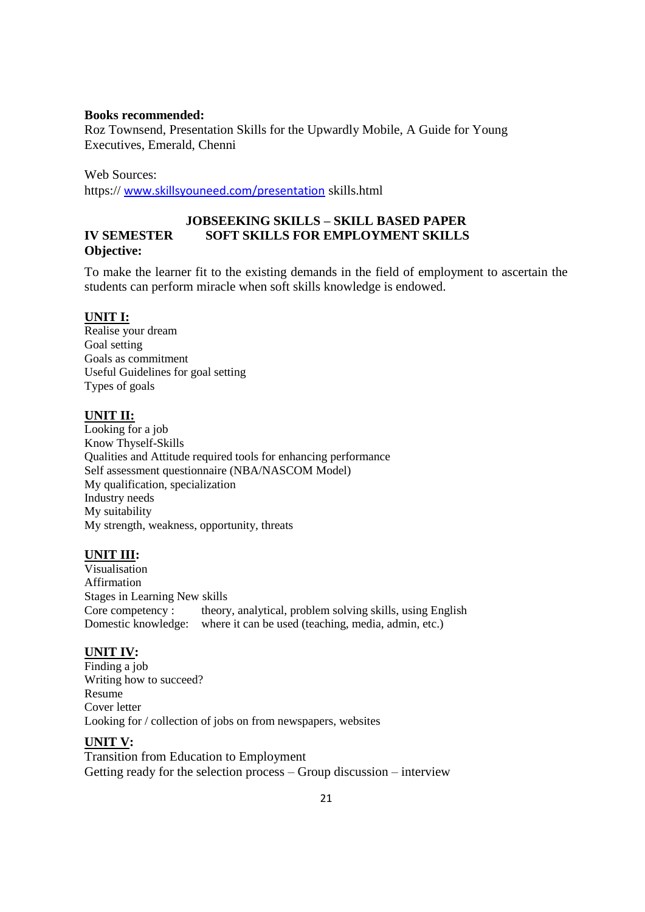#### **Books recommended:**

Roz Townsend, Presentation Skills for the Upwardly Mobile, A Guide for Young Executives, Emerald, Chenni

Web Sources:

https:// [www.skillsyouneed.com/presentation](http://www.skillsyouneed.com/presentation) skills.html

### **JOBSEEKING SKILLS – SKILL BASED PAPER IV SEMESTER SOFT SKILLS FOR EMPLOYMENT SKILLS Objective:**

To make the learner fit to the existing demands in the field of employment to ascertain the students can perform miracle when soft skills knowledge is endowed.

#### **UNIT I:**

Realise your dream Goal setting Goals as commitment Useful Guidelines for goal setting Types of goals

#### **UNIT II:**

Looking for a job Know Thyself-Skills Qualities and Attitude required tools for enhancing performance Self assessment questionnaire (NBA/NASCOM Model) My qualification, specialization Industry needs My suitability My strength, weakness, opportunity, threats

#### **UNIT III:**

Visualisation Affirmation Stages in Learning New skills Core competency : theory, analytical, problem solving skills, using English Domestic knowledge: where it can be used (teaching, media, admin, etc.)

#### **UNIT IV:**

Finding a job Writing how to succeed? Resume Cover letter Looking for / collection of jobs on from newspapers, websites

#### **UNIT V:**

Transition from Education to Employment Getting ready for the selection process – Group discussion – interview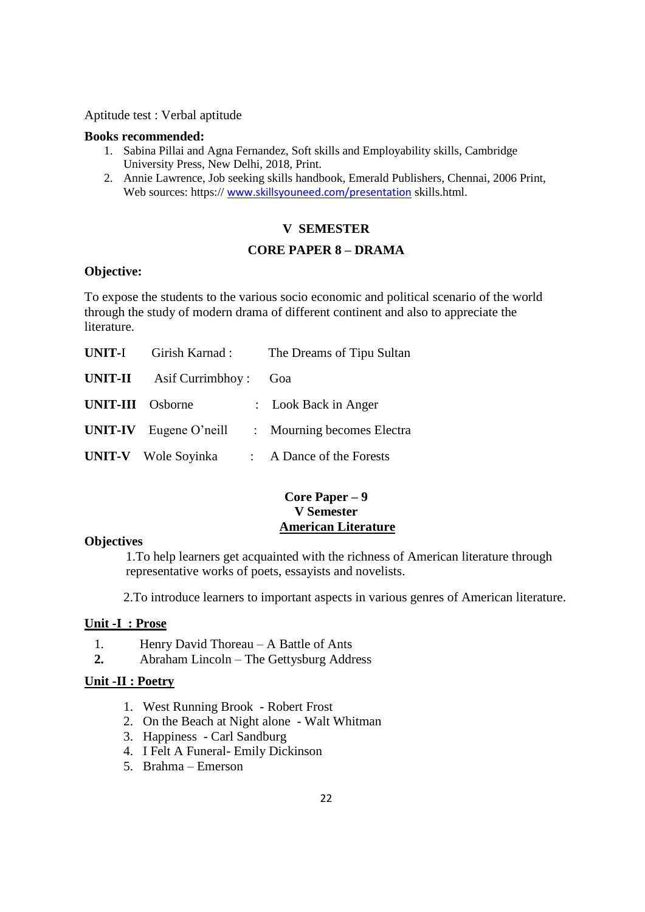Aptitude test : Verbal aptitude

#### **Books recommended:**

- 1. Sabina Pillai and Agna Fernandez, Soft skills and Employability skills, Cambridge University Press, New Delhi, 2018, Print.
- 2. Annie Lawrence, Job seeking skills handbook, Emerald Publishers, Chennai, 2006 Print, Web sources: https:// [www.skillsyouneed.com/presentation](http://www.skillsyouneed.com/presentation) skills.html.

## **V SEMESTER**

#### **CORE PAPER 8 – DRAMA**

### **Objective:**

To expose the students to the various socio economic and political scenario of the world through the study of modern drama of different continent and also to appreciate the literature.

| <b>UNIT-I</b>           | Girish Karnad:                  | The Dreams of Tipu Sultan  |
|-------------------------|---------------------------------|----------------------------|
|                         | <b>UNIT-II</b> Asif Currimbhoy: | Goa                        |
| <b>UNIT-III</b> Osborne |                                 | : Look Back in Anger       |
|                         | $UNIT-IV$ Eugene O'neill        | : Mourning becomes Electra |
|                         | <b>UNIT-V</b> Wole Soyinka      | : A Dance of the Forests   |

### **Core Paper – 9 V Semester American Literature**

### **Objectives**

1.To help learners get acquainted with the richness of American literature through representative works of poets, essayists and novelists.

2.To introduce learners to important aspects in various genres of American literature.

### **Unit -I : Prose**

- 1. Henry David Thoreau A Battle of Ants
- **2.** Abraham Lincoln The Gettysburg Address

#### **Unit -II : Poetry**

- 1. West Running Brook Robert Frost
- 2. On the Beach at Night alone Walt Whitman
- 3. Happiness Carl Sandburg
- 4. I Felt A Funeral- Emily Dickinson
- 5. Brahma Emerson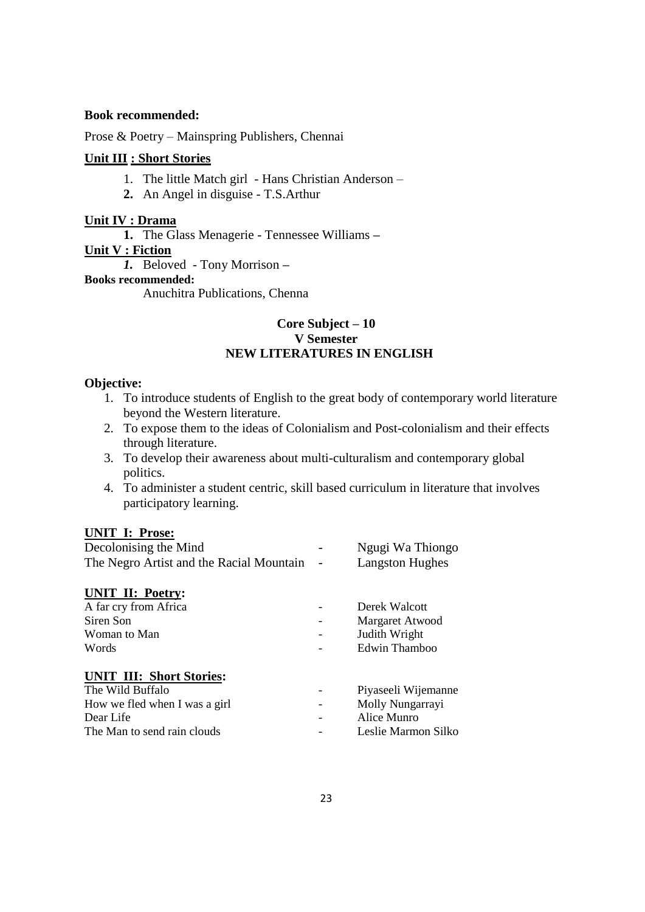#### **Book recommended:**

Prose & Poetry – Mainspring Publishers, Chennai

#### **Unit III : Short Stories**

- 1. The little Match girl Hans Christian Anderson –
- **2.** An Angel in disguise T.S.Arthur

### **Unit IV : Drama**

**1.** The Glass Menagerie - Tennessee Williams **–**

### **Unit V : Fiction**

*1.* Beloved - Tony Morrison *–*

### **Books recommended:**

Anuchitra Publications, Chenna

### **Core Subject – 10 V Semester NEW LITERATURES IN ENGLISH**

#### **Objective:**

- 1. To introduce students of English to the great body of contemporary world literature beyond the Western literature.
- 2. To expose them to the ideas of Colonialism and Post-colonialism and their effects through literature.
- 3. To develop their awareness about multi-culturalism and contemporary global politics.
- 4. To administer a student centric, skill based curriculum in literature that involves participatory learning.

### **UNIT I: Prose:**

| Decolonising the Mind                    |  | Ngugi Wa Thiongo       |
|------------------------------------------|--|------------------------|
| The Negro Artist and the Racial Mountain |  | <b>Langston Hughes</b> |
| <b>UNIT II: Poetry:</b>                  |  |                        |
| A far cry from Africa                    |  | Derek Walcott          |
| Siren Son                                |  | Margaret Atwood        |
| Woman to Man                             |  | Judith Wright          |
| Words                                    |  | Edwin Thamboo          |
| <b>UNIT III: Short Stories:</b>          |  |                        |
| The Wild Buffalo                         |  | Piyaseeli Wijemanne    |
| How we fled when I was a girl            |  | Molly Nungarrayi       |
| Dear Life                                |  | Alice Munro            |
| The Man to send rain clouds              |  | Leslie Marmon Silko    |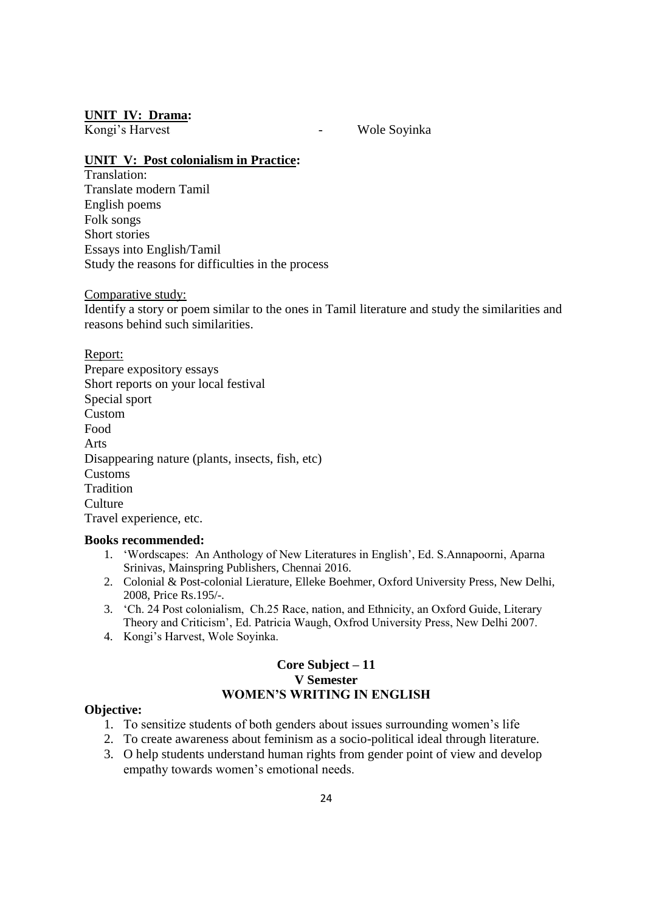#### **UNIT IV: Drama:**

Kongi's Harvest **- Wole Soyinka** 

#### **UNIT V: Post colonialism in Practice:**

Translation: Translate modern Tamil English poems Folk songs Short stories Essays into English/Tamil Study the reasons for difficulties in the process

#### Comparative study:

Identify a story or poem similar to the ones in Tamil literature and study the similarities and reasons behind such similarities.

#### Report:

Prepare expository essays Short reports on your local festival Special sport Custom Food Arts Disappearing nature (plants, insects, fish, etc) Customs Tradition **Culture** Travel experience, etc.

#### **Books recommended:**

- 1. "Wordscapes: An Anthology of New Literatures in English", Ed. S.Annapoorni, Aparna Srinivas, Mainspring Publishers, Chennai 2016.
- 2. Colonial & Post-colonial Lierature, Elleke Boehmer, Oxford University Press, New Delhi, 2008, Price Rs.195/-.
- 3. "Ch. 24 Post colonialism, Ch.25 Race, nation, and Ethnicity, an Oxford Guide, Literary Theory and Criticism", Ed. Patricia Waugh, Oxfrod University Press, New Delhi 2007.
- 4. Kongi"s Harvest, Wole Soyinka.

#### **Core Subject – 11 V Semester WOMEN'S WRITING IN ENGLISH**

#### **Objective:**

- 1. To sensitize students of both genders about issues surrounding women"s life
- 2. To create awareness about feminism as a socio-political ideal through literature.
- 3. O help students understand human rights from gender point of view and develop empathy towards women"s emotional needs.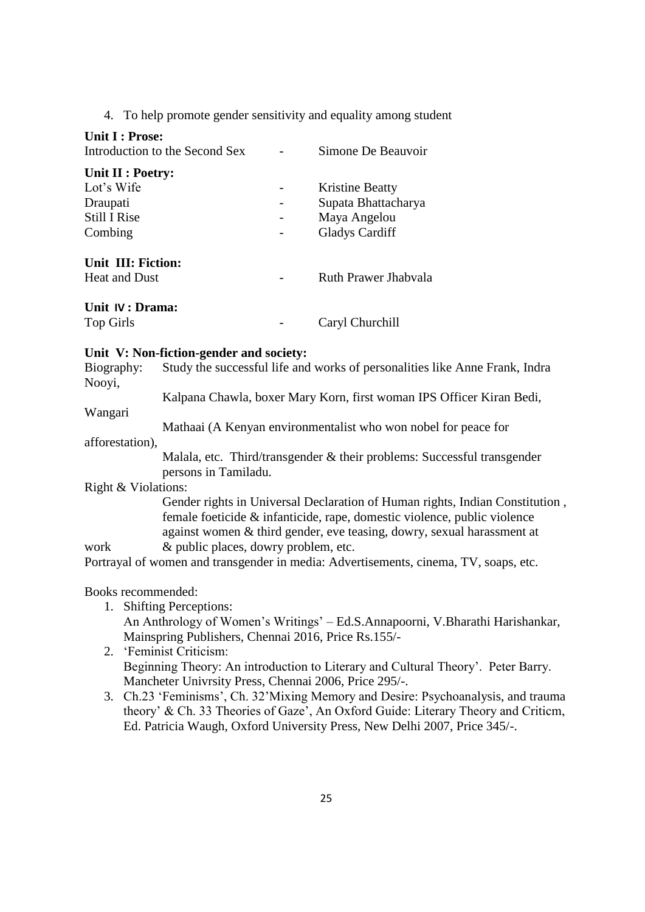4. To help promote gender sensitivity and equality among student

| Unit I : Prose:<br>Introduction to the Second Sex | Simone De Beauvoir     |
|---------------------------------------------------|------------------------|
| Unit II : Poetry:                                 |                        |
| Lot's Wife                                        | <b>Kristine Beatty</b> |
| Draupati                                          | Supata Bhattacharya    |
| <b>Still I Rise</b>                               | Maya Angelou           |
| Combing                                           | <b>Gladys Cardiff</b>  |
| Unit III: Fiction:                                |                        |
| <b>Heat and Dust</b>                              | Ruth Prawer Jhabyala   |
| Unit IV : Drama:                                  |                        |
| <b>Top Girls</b>                                  | Caryl Churchill        |

#### **Unit V: Non-fiction-gender and society:**

Biography: Study the successful life and works of personalities like Anne Frank, Indra Nooyi,

Kalpana Chawla, boxer Mary Korn, first woman IPS Officer Kiran Bedi,

#### Wangari

Mathaai (A Kenyan environmentalist who won nobel for peace for

#### afforestation),

Malala, etc. Third/transgender & their problems: Successful transgender persons in Tamiladu.

#### Right & Violations:

Gender rights in Universal Declaration of Human rights, Indian Constitution , female foeticide & infanticide, rape, domestic violence, public violence against women & third gender, eve teasing, dowry, sexual harassment at work  $\&$  public places, dowry problem, etc.

Portrayal of women and transgender in media: Advertisements, cinema, TV, soaps, etc.

#### Books recommended:

1. Shifting Perceptions: An Anthrology of Women"s Writings" – Ed.S.Annapoorni, V.Bharathi Harishankar, Mainspring Publishers, Chennai 2016, Price Rs.155/-

### 2. "Feminist Criticism: Beginning Theory: An introduction to Literary and Cultural Theory'. Peter Barry. Mancheter Univrsity Press, Chennai 2006, Price 295/-.

3. Ch.23 "Feminisms", Ch. 32"Mixing Memory and Desire: Psychoanalysis, and trauma theory" & Ch. 33 Theories of Gaze", An Oxford Guide: Literary Theory and Criticm, Ed. Patricia Waugh, Oxford University Press, New Delhi 2007, Price 345/-.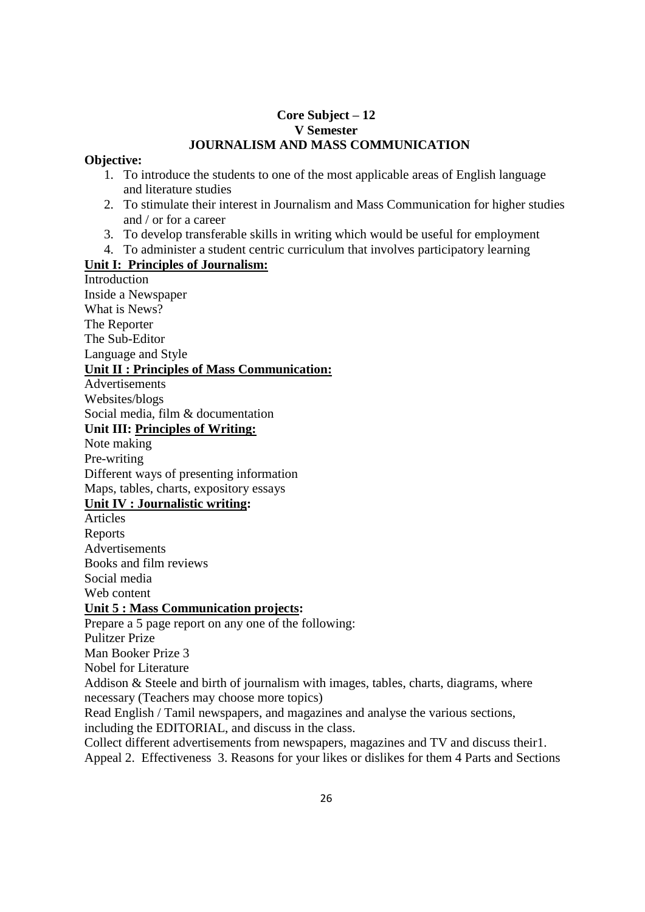### **Core Subject – 12 V Semester JOURNALISM AND MASS COMMUNICATION**

### **Objective:**

- 1. To introduce the students to one of the most applicable areas of English language and literature studies
- 2. To stimulate their interest in Journalism and Mass Communication for higher studies and / or for a career
- 3. To develop transferable skills in writing which would be useful for employment
- 4. To administer a student centric curriculum that involves participatory learning

### **Unit I: Principles of Journalism:**

**Introduction** Inside a Newspaper What is News? The Reporter The Sub-Editor Language and Style **Unit II : Principles of Mass Communication:** Advertisements Websites/blogs Social media, film & documentation **Unit III: Principles of Writing:** Note making Pre-writing Different ways of presenting information Maps, tables, charts, expository essays **Unit IV : Journalistic writing:** Articles Reports Advertisements Books and film reviews Social media Web content **Unit 5 : Mass Communication projects:** Prepare a 5 page report on any one of the following: Pulitzer Prize Man Booker Prize 3 Nobel for Literature Addison & Steele and birth of journalism with images, tables, charts, diagrams, where necessary (Teachers may choose more topics) Read English / Tamil newspapers, and magazines and analyse the various sections, including the EDITORIAL, and discuss in the class. Collect different advertisements from newspapers, magazines and TV and discuss their1.

Appeal 2. Effectiveness 3. Reasons for your likes or dislikes for them 4 Parts and Sections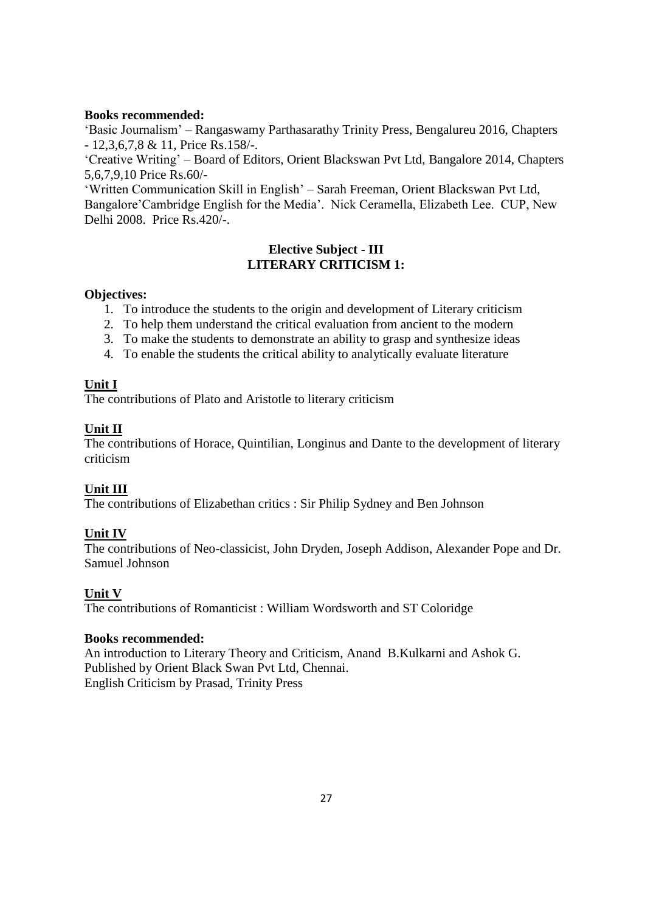### **Books recommended:**

"Basic Journalism" – Rangaswamy Parthasarathy Trinity Press, Bengalureu 2016, Chapters - 12,3,6,7,8 & 11, Price Rs.158/-.

"Creative Writing" – Board of Editors, Orient Blackswan Pvt Ltd, Bangalore 2014, Chapters 5,6,7,9,10 Price Rs.60/-

"Written Communication Skill in English" – Sarah Freeman, Orient Blackswan Pvt Ltd, Bangalore"Cambridge English for the Media". Nick Ceramella, Elizabeth Lee. CUP, New Delhi 2008. Price Rs.420/-.

### **Elective Subject - III LITERARY CRITICISM 1:**

### **Objectives:**

- 1. To introduce the students to the origin and development of Literary criticism
- 2. To help them understand the critical evaluation from ancient to the modern
- 3. To make the students to demonstrate an ability to grasp and synthesize ideas
- 4. To enable the students the critical ability to analytically evaluate literature

### **Unit I**

The contributions of Plato and Aristotle to literary criticism

### **Unit II**

The contributions of Horace, Quintilian, Longinus and Dante to the development of literary criticism

### **Unit III**

The contributions of Elizabethan critics : Sir Philip Sydney and Ben Johnson

### **Unit IV**

The contributions of Neo-classicist, John Dryden, Joseph Addison, Alexander Pope and Dr. Samuel Johnson

### **Unit V**

The contributions of Romanticist : William Wordsworth and ST Coloridge

### **Books recommended:**

An introduction to Literary Theory and Criticism, Anand B.Kulkarni and Ashok G. Published by Orient Black Swan Pvt Ltd, Chennai. English Criticism by Prasad, Trinity Press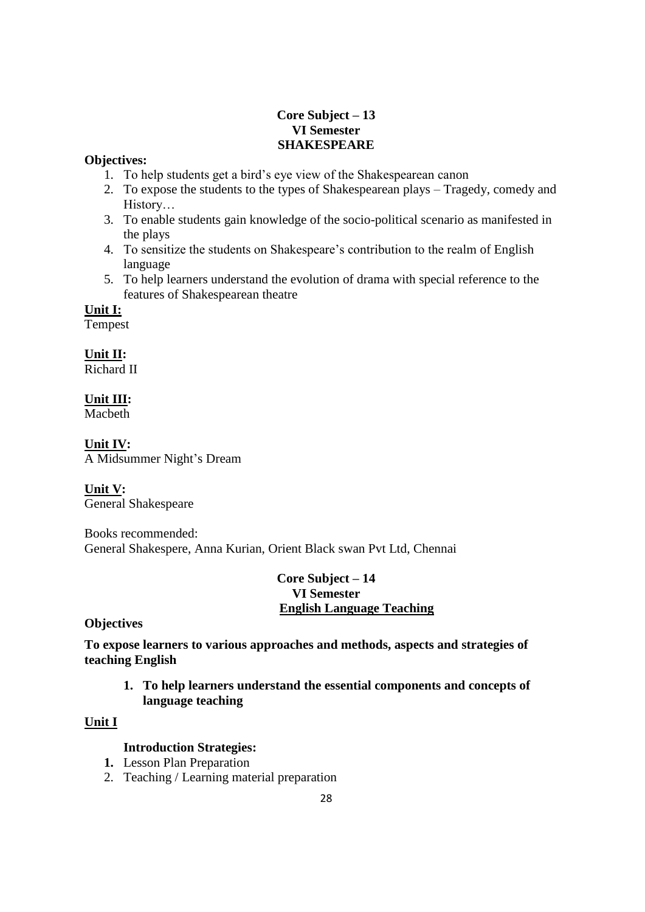### **Core Subject – 13 VI Semester SHAKESPEARE**

### **Objectives:**

- 1. To help students get a bird"s eye view of the Shakespearean canon
- 2. To expose the students to the types of Shakespearean plays Tragedy, comedy and History…
- 3. To enable students gain knowledge of the socio-political scenario as manifested in the plays
- 4. To sensitize the students on Shakespeare"s contribution to the realm of English language
- 5. To help learners understand the evolution of drama with special reference to the features of Shakespearean theatre

**Unit I:**

Tempest

**Unit II:** Richard II

**Unit III:**

Macbeth

**Unit IV:** A Midsummer Night"s Dream

**Unit V:** General Shakespeare

Books recommended: General Shakespere, Anna Kurian, Orient Black swan Pvt Ltd, Chennai

> **Core Subject – 14 VI Semester English Language Teaching**

**Objectives**

**To expose learners to various approaches and methods, aspects and strategies of teaching English**

**1. To help learners understand the essential components and concepts of language teaching**

### **Unit I**

### **Introduction Strategies:**

- **1.** Lesson Plan Preparation
- 2. Teaching / Learning material preparation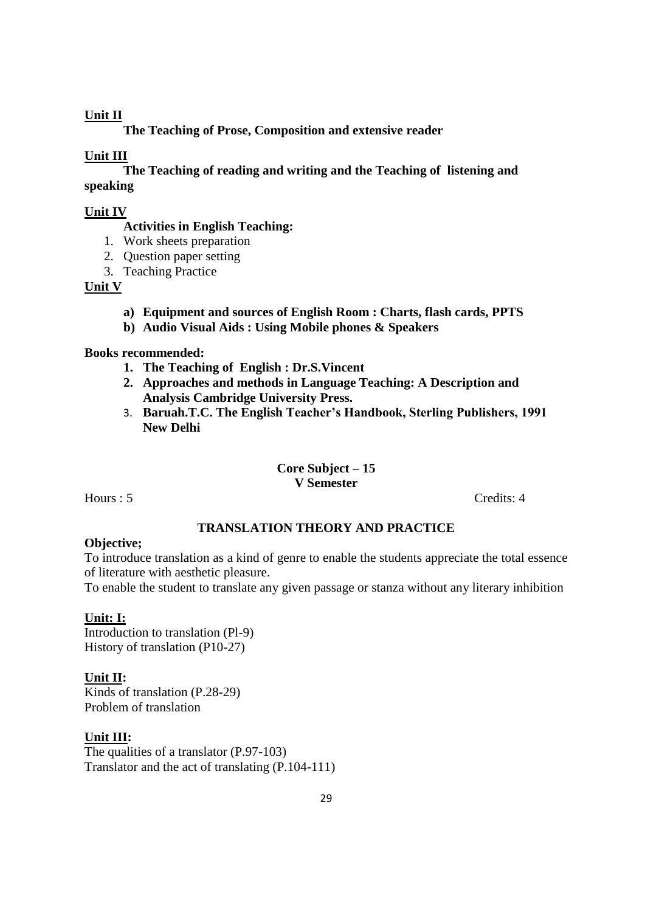### **Unit II**

**The Teaching of Prose, Composition and extensive reader**

### **Unit III**

**The Teaching of reading and writing and the Teaching of listening and speaking**

#### **Unit IV**

**Activities in English Teaching:**

- 1. Work sheets preparation
- 2. Question paper setting
- 3. Teaching Practice

#### **Unit V**

- **a) Equipment and sources of English Room : Charts, flash cards, PPTS**
- **b) Audio Visual Aids : Using Mobile phones & Speakers**

### **Books recommended:**

- **1. The Teaching of English : Dr.S.Vincent**
- **2. Approaches and methods in Language Teaching: A Description and Analysis Cambridge University Press.**
- 3. **Baruah.T.C. The English Teacher's Handbook, Sterling Publishers, 1991 New Delhi**

#### **Core Subject – 15 V Semester**

Hours : 5 Credits: 4

### **TRANSLATION THEORY AND PRACTICE**

### **Objective;**

To introduce translation as a kind of genre to enable the students appreciate the total essence of literature with aesthetic pleasure.

To enable the student to translate any given passage or stanza without any literary inhibition

### **Unit: I:**

Introduction to translation (Pl-9) History of translation (P10-27)

#### **Unit II:**

Kinds of translation (P.28-29) Problem of translation

#### **Unit III:**

The qualities of a translator (P.97-103) Translator and the act of translating (P.104-111)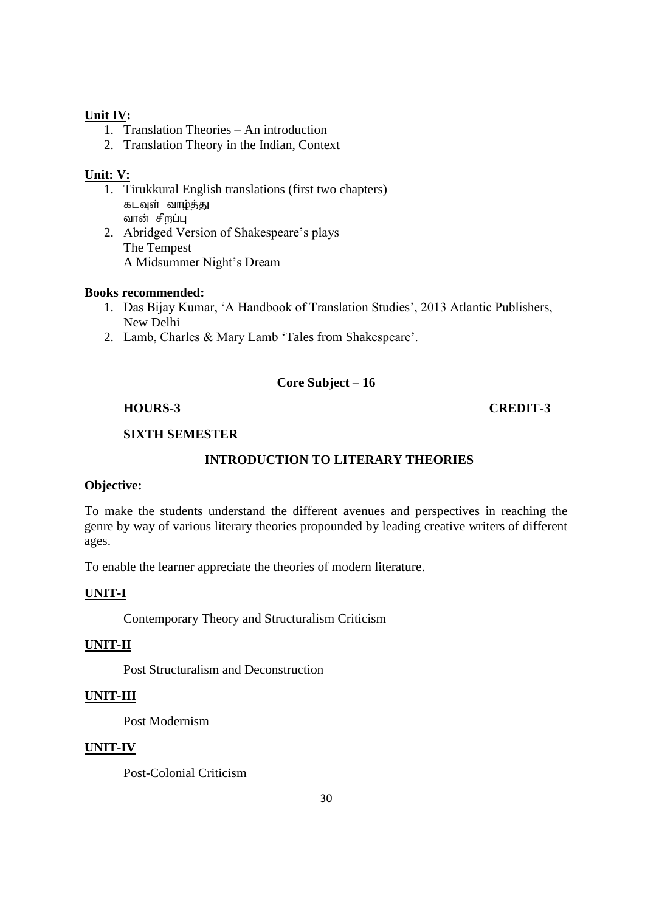### **Unit IV:**

- 1. Translation Theories An introduction
- 2. Translation Theory in the Indian, Context

### **Unit: V:**

- 1. Tirukkural English translations (first two chapters) கடவுள் வாழ்த்து வான் சிறப்பு
- 2. Abridged Version of Shakespeare"s plays The Tempest A Midsummer Night"s Dream

### **Books recommended:**

- 1. Das Bijay Kumar, "A Handbook of Translation Studies", 2013 Atlantic Publishers, New Delhi
- 2. Lamb, Charles & Mary Lamb "Tales from Shakespeare".

### **Core Subject – 16**

### **HOURS-3 CREDIT-3**

### **SIXTH SEMESTER**

### **INTRODUCTION TO LITERARY THEORIES**

### **Objective:**

To make the students understand the different avenues and perspectives in reaching the genre by way of various literary theories propounded by leading creative writers of different ages.

To enable the learner appreciate the theories of modern literature.

### **UNIT-I**

Contemporary Theory and Structuralism Criticism

### **UNIT-II**

Post Structuralism and Deconstruction

### **UNIT-III**

Post Modernism

#### **UNIT-IV**

Post-Colonial Criticism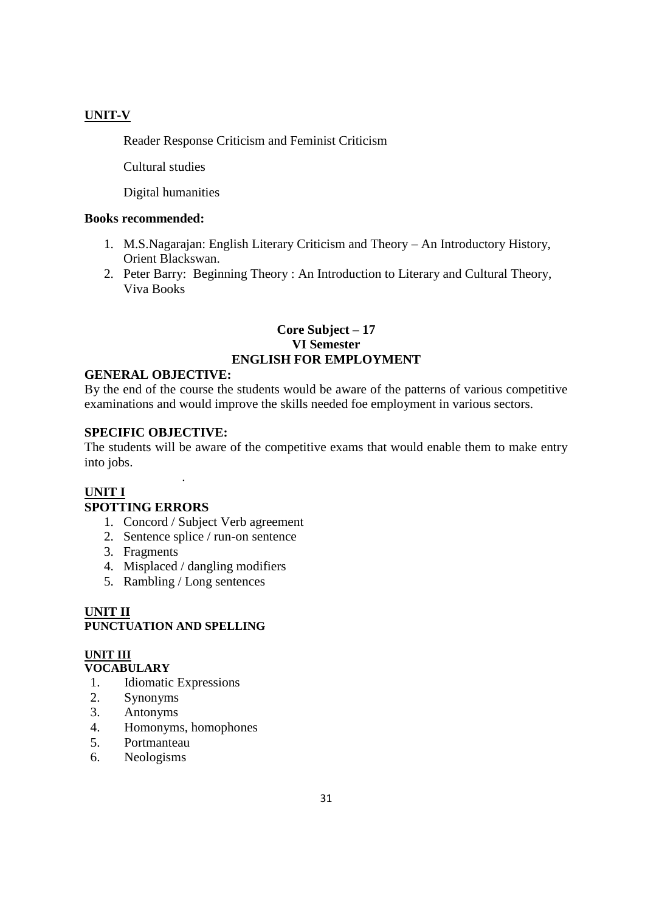### **UNIT-V**

Reader Response Criticism and Feminist Criticism

Cultural studies

Digital humanities

#### **Books recommended:**

- 1. M.S.Nagarajan: English Literary Criticism and Theory An Introductory History, Orient Blackswan.
- 2. Peter Barry: Beginning Theory : An Introduction to Literary and Cultural Theory, Viva Books

### **Core Subject – 17 VI Semester ENGLISH FOR EMPLOYMENT**

#### **GENERAL OBJECTIVE:**

By the end of the course the students would be aware of the patterns of various competitive examinations and would improve the skills needed foe employment in various sectors.

#### **SPECIFIC OBJECTIVE:**

The students will be aware of the competitive exams that would enable them to make entry into jobs.

#### **UNIT I SPOTTING ERRORS**

- 1. Concord / Subject Verb agreement
- 2. Sentence splice / run-on sentence
- 3. Fragments
- 4. Misplaced / dangling modifiers
- 5. Rambling / Long sentences

.

### **UNIT II PUNCTUATION AND SPELLING**

## **UNIT III**

### **VOCABULARY**

- 1.Idiomatic Expressions
- 2. Synonyms
- 3. Antonyms
- 4. Homonyms, homophones
- 5. Portmanteau
- 6. Neologisms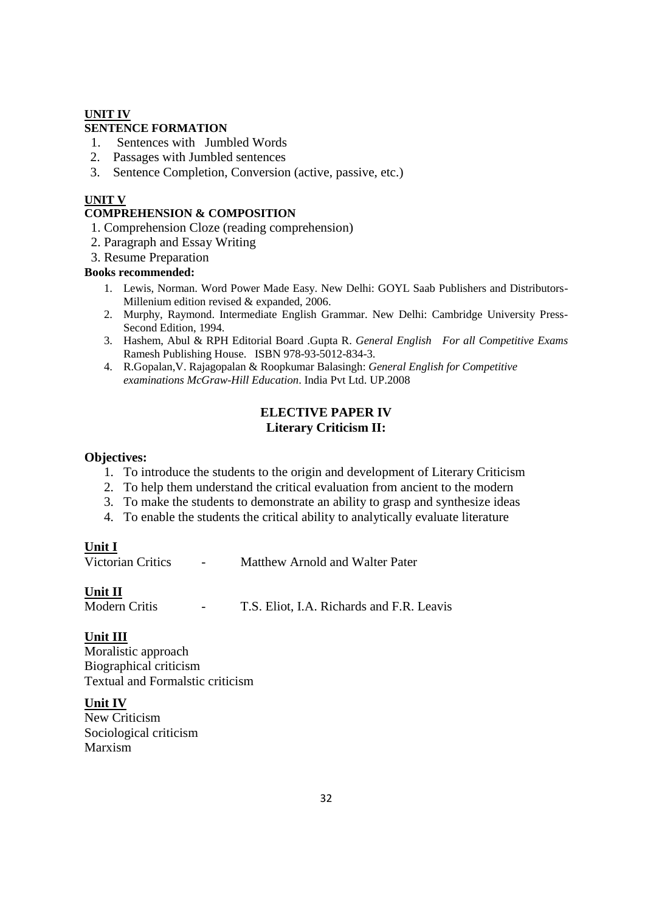#### **UNIT IV**

### **SENTENCE FORMATION**

- 1. Sentences with Jumbled Words
- 2. Passages with Jumbled sentences
- 3. Sentence Completion, Conversion (active, passive, etc.)

#### **UNIT V**

#### **COMPREHENSION & COMPOSITION**

- 1. Comprehension Cloze (reading comprehension)
- 2. Paragraph and Essay Writing
- 3. Resume Preparation

#### **Books recommended:**

- 1. Lewis, Norman. Word Power Made Easy. New Delhi: GOYL Saab Publishers and Distributors-Millenium edition revised & expanded, 2006.
- 2. Murphy, Raymond. Intermediate English Grammar. New Delhi: Cambridge University Press-Second Edition, 1994.
- 3. Hashem, Abul & RPH Editorial Board .Gupta R. *General English For all Competitive Exams* Ramesh Publishing House. ISBN 978-93-5012-834-3.
- 4. R.Gopalan,V. Rajagopalan & Roopkumar Balasingh: *General English for Competitive examinations McGraw-Hill Education*. India Pvt Ltd. UP.2008

### **ELECTIVE PAPER IV Literary Criticism II:**

#### **Objectives:**

- 1. To introduce the students to the origin and development of Literary Criticism
- 2. To help them understand the critical evaluation from ancient to the modern
- 3. To make the students to demonstrate an ability to grasp and synthesize ideas
- 4. To enable the students the critical ability to analytically evaluate literature

#### **Unit I**

Victorian Critics - Matthew Arnold and Walter Pater

#### **Unit II**

Modern Critis **- T.S. Eliot, I.A. Richards and F.R. Leavis** 

#### **Unit III**

Moralistic approach Biographical criticism Textual and Formalstic criticism

#### **Unit IV**

New Criticism Sociological criticism Marxism